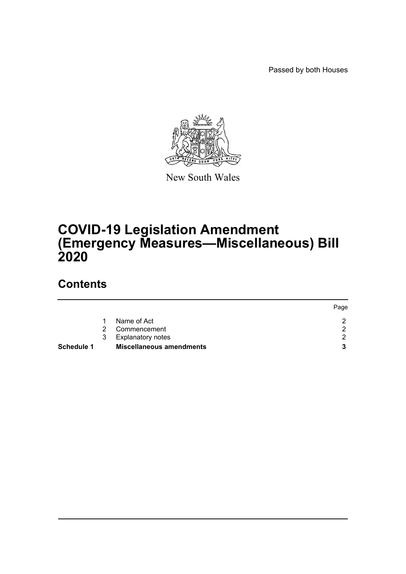Passed by both Houses



New South Wales

# **COVID-19 Legislation Amendment (Emergency Measures—Miscellaneous) Bill 2020**

# **Contents**

|                   |               |                                 | Page |
|-------------------|---------------|---------------------------------|------|
|                   |               | Name of Act                     |      |
|                   | $\mathcal{P}$ | Commencement                    |      |
|                   | 3             | <b>Explanatory notes</b>        |      |
| <b>Schedule 1</b> |               | <b>Miscellaneous amendments</b> |      |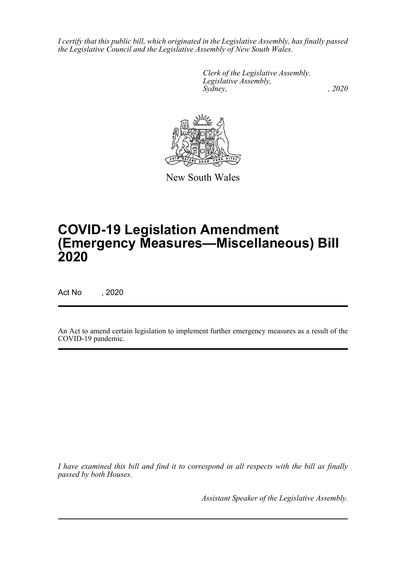*I certify that this public bill, which originated in the Legislative Assembly, has finally passed the Legislative Council and the Legislative Assembly of New South Wales.*

> *Clerk of the Legislative Assembly. Legislative Assembly, Sydney, , 2020*



New South Wales

# **COVID-19 Legislation Amendment (Emergency Measures—Miscellaneous) Bill 2020**

Act No , 2020

An Act to amend certain legislation to implement further emergency measures as a result of the COVID-19 pandemic.

*I have examined this bill and find it to correspond in all respects with the bill as finally passed by both Houses.*

*Assistant Speaker of the Legislative Assembly.*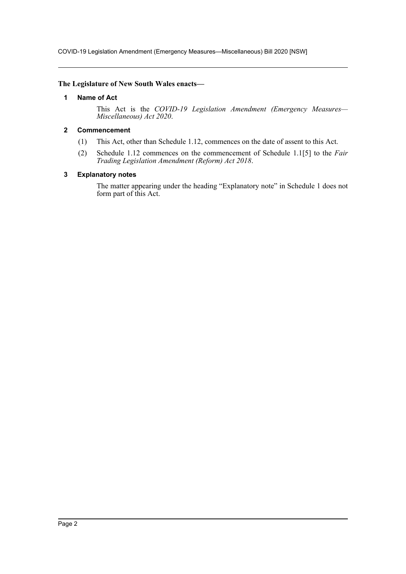COVID-19 Legislation Amendment (Emergency Measures—Miscellaneous) Bill 2020 [NSW]

#### <span id="page-2-0"></span>**The Legislature of New South Wales enacts—**

#### **1 Name of Act**

This Act is the *COVID-19 Legislation Amendment (Emergency Measures— Miscellaneous) Act 2020*.

### <span id="page-2-1"></span>**2 Commencement**

- (1) This Act, other than Schedule 1.12, commences on the date of assent to this Act.
- (2) Schedule 1.12 commences on the commencement of Schedule 1.1[5] to the *Fair Trading Legislation Amendment (Reform) Act 2018*.

#### <span id="page-2-2"></span>**3 Explanatory notes**

The matter appearing under the heading "Explanatory note" in Schedule 1 does not form part of this Act.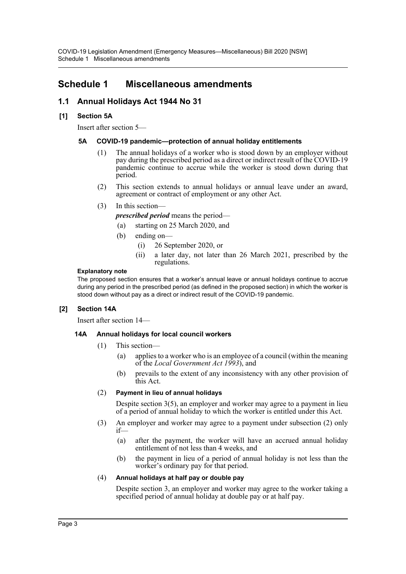## <span id="page-3-0"></span>**Schedule 1 Miscellaneous amendments**

## **1.1 Annual Holidays Act 1944 No 31**

## **[1] Section 5A**

Insert after section 5—

## **5A COVID-19 pandemic—protection of annual holiday entitlements**

- (1) The annual holidays of a worker who is stood down by an employer without pay during the prescribed period as a direct or indirect result of the COVID-19 pandemic continue to accrue while the worker is stood down during that period.
- (2) This section extends to annual holidays or annual leave under an award, agreement or contract of employment or any other Act.
- (3) In this section—

*prescribed period* means the period—

(a) starting on 25 March 2020, and

- (b) ending on—
	- (i) 26 September 2020, or
	- (ii) a later day, not later than 26 March 2021, prescribed by the regulations.

#### **Explanatory note**

The proposed section ensures that a worker's annual leave or annual holidays continue to accrue during any period in the prescribed period (as defined in the proposed section) in which the worker is stood down without pay as a direct or indirect result of the COVID-19 pandemic.

## **[2] Section 14A**

Insert after section 14—

## **14A Annual holidays for local council workers**

- (1) This section—
	- (a) applies to a worker who is an employee of a council (within the meaning of the *Local Government Act 1993*), and
	- (b) prevails to the extent of any inconsistency with any other provision of this Act.

## (2) **Payment in lieu of annual holidays**

Despite section 3(5), an employer and worker may agree to a payment in lieu of a period of annual holiday to which the worker is entitled under this Act.

- (3) An employer and worker may agree to a payment under subsection (2) only if—
	- (a) after the payment, the worker will have an accrued annual holiday entitlement of not less than 4 weeks, and
	- (b) the payment in lieu of a period of annual holiday is not less than the worker's ordinary pay for that period.

#### (4) **Annual holidays at half pay or double pay**

Despite section 3, an employer and worker may agree to the worker taking a specified period of annual holiday at double pay or at half pay.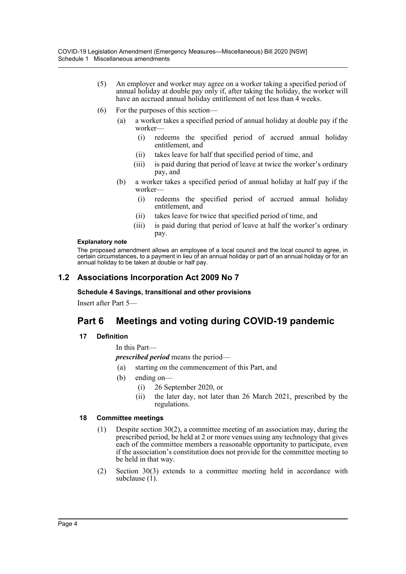- (5) An employer and worker may agree on a worker taking a specified period of annual holiday at double pay only if, after taking the holiday, the worker will have an accrued annual holiday entitlement of not less than 4 weeks.
- (6) For the purposes of this section—
	- (a) a worker takes a specified period of annual holiday at double pay if the worker—
		- (i) redeems the specified period of accrued annual holiday entitlement, and
		- (ii) takes leave for half that specified period of time, and
		- (iii) is paid during that period of leave at twice the worker's ordinary pay, and
	- (b) a worker takes a specified period of annual holiday at half pay if the worker—
		- (i) redeems the specified period of accrued annual holiday entitlement, and
		- (ii) takes leave for twice that specified period of time, and
		- (iii) is paid during that period of leave at half the worker's ordinary pay.

#### **Explanatory note**

The proposed amendment allows an employee of a local council and the local council to agree, in certain circumstances, to a payment in lieu of an annual holiday or part of an annual holiday or for an annual holiday to be taken at double or half pay.

## **1.2 Associations Incorporation Act 2009 No 7**

#### **Schedule 4 Savings, transitional and other provisions**

Insert after Part 5—

## **Part 6 Meetings and voting during COVID-19 pandemic**

## **17 Definition**

In this Part—

*prescribed period* means the period—

- (a) starting on the commencement of this Part, and
- (b) ending on—
	- (i) 26 September 2020, or
	- (ii) the later day, not later than 26 March 2021, prescribed by the regulations.

## **18 Committee meetings**

- (1) Despite section 30(2), a committee meeting of an association may, during the prescribed period, be held at 2 or more venues using any technology that gives each of the committee members a reasonable opportunity to participate, even if the association's constitution does not provide for the committee meeting to be held in that way.
- (2) Section 30(3) extends to a committee meeting held in accordance with subclause  $(1)$ .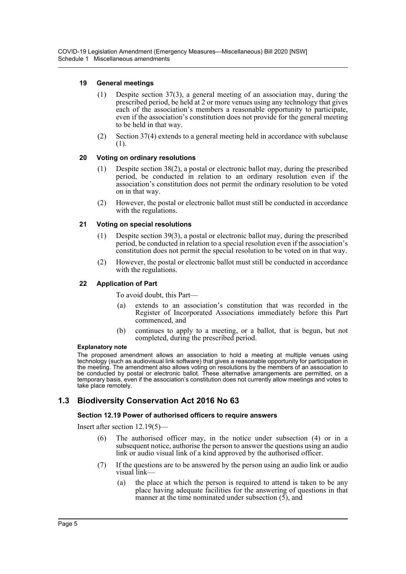## **19 General meetings**

- (1) Despite section 37(3), a general meeting of an association may, during the prescribed period, be held at 2 or more venues using any technology that gives each of the association's members a reasonable opportunity to participate, even if the association's constitution does not provide for the general meeting to be held in that way.
- (2) Section 37(4) extends to a general meeting held in accordance with subclause (1).

#### **20 Voting on ordinary resolutions**

- (1) Despite section 38(2), a postal or electronic ballot may, during the prescribed period, be conducted in relation to an ordinary resolution even if the association's constitution does not permit the ordinary resolution to be voted on in that way.
- (2) However, the postal or electronic ballot must still be conducted in accordance with the regulations.

### **21 Voting on special resolutions**

- (1) Despite section 39(3), a postal or electronic ballot may, during the prescribed period, be conducted in relation to a special resolution even if the association's constitution does not permit the special resolution to be voted on in that way.
- (2) However, the postal or electronic ballot must still be conducted in accordance with the regulations.

#### **22 Application of Part**

To avoid doubt, this Part—

- (a) extends to an association's constitution that was recorded in the Register of Incorporated Associations immediately before this Part commenced, and
- (b) continues to apply to a meeting, or a ballot, that is begun, but not completed, during the prescribed period.

#### **Explanatory note**

The proposed amendment allows an association to hold a meeting at multiple venues using technology (such as audiovisual link software) that gives a reasonable opportunity for participation in the meeting. The amendment also allows voting on resolutions by the members of an association to be conducted by postal or electronic ballot. These alternative arrangements are permitted, on a temporary basis, even if the association's constitution does not currently allow meetings and votes to take place remotely.

## **1.3 Biodiversity Conservation Act 2016 No 63**

#### **Section 12.19 Power of authorised officers to require answers**

Insert after section 12.19(5)—

- (6) The authorised officer may, in the notice under subsection (4) or in a subsequent notice, authorise the person to answer the questions using an audio link or audio visual link of a kind approved by the authorised officer.
- (7) If the questions are to be answered by the person using an audio link or audio visual link—
	- (a) the place at which the person is required to attend is taken to be any place having adequate facilities for the answering of questions in that manner at the time nominated under subsection  $(5)$ , and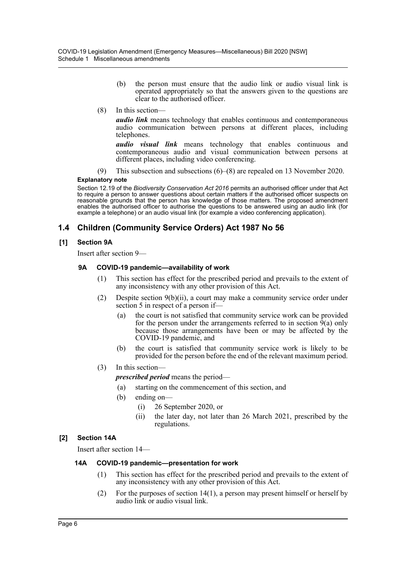- (b) the person must ensure that the audio link or audio visual link is operated appropriately so that the answers given to the questions are clear to the authorised officer.
- (8) In this section—

*audio link* means technology that enables continuous and contemporaneous audio communication between persons at different places, including telephones.

*audio visual link* means technology that enables continuous and contemporaneous audio and visual communication between persons at different places, including video conferencing.

(9) This subsection and subsections (6)–(8) are repealed on 13 November 2020.

#### **Explanatory note**

Section 12.19 of the *Biodiversity Conservation Act 2016* permits an authorised officer under that Act to require a person to answer questions about certain matters if the authorised officer suspects on reasonable grounds that the person has knowledge of those matters. The proposed amendment enables the authorised officer to authorise the questions to be answered using an audio link (for example a telephone) or an audio visual link (for example a video conferencing application).

## **1.4 Children (Community Service Orders) Act 1987 No 56**

## **[1] Section 9A**

Insert after section 9—

### **9A COVID-19 pandemic—availability of work**

- (1) This section has effect for the prescribed period and prevails to the extent of any inconsistency with any other provision of this Act.
- (2) Despite section  $9(b)(ii)$ , a court may make a community service order under section 5 in respect of a person if—
	- (a) the court is not satisfied that community service work can be provided for the person under the arrangements referred to in section 9(a) only because those arrangements have been or may be affected by the COVID-19 pandemic, and
	- (b) the court is satisfied that community service work is likely to be provided for the person before the end of the relevant maximum period.
- (3) In this section—

*prescribed period* means the period—

- (a) starting on the commencement of this section, and
- (b) ending on—
	- (i) 26 September 2020, or
	- (ii) the later day, not later than 26 March 2021, prescribed by the regulations.

## **[2] Section 14A**

Insert after section 14—

#### **14A COVID-19 pandemic—presentation for work**

- (1) This section has effect for the prescribed period and prevails to the extent of any inconsistency with any other provision of this Act.
- (2) For the purposes of section  $14(1)$ , a person may present himself or herself by audio link or audio visual link.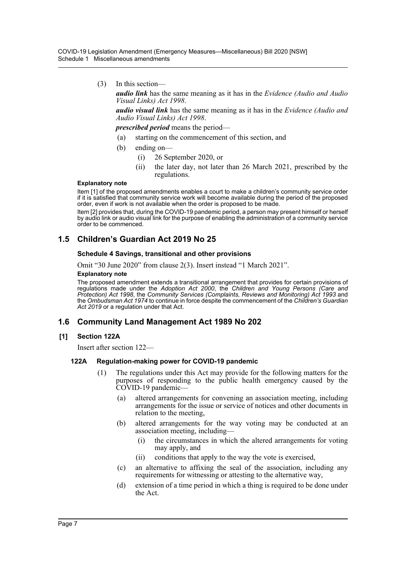COVID-19 Legislation Amendment (Emergency Measures—Miscellaneous) Bill 2020 [NSW] Schedule 1 Miscellaneous amendments

(3) In this section—

*audio link* has the same meaning as it has in the *Evidence (Audio and Audio Visual Links) Act 1998*.

*audio visual link* has the same meaning as it has in the *Evidence (Audio and Audio Visual Links) Act 1998*.

*prescribed period* means the period—

- (a) starting on the commencement of this section, and
- (b) ending on—
	- (i) 26 September 2020, or
	- (ii) the later day, not later than 26 March 2021, prescribed by the regulations.

#### **Explanatory note**

Item [1] of the proposed amendments enables a court to make a children's community service order if it is satisfied that community service work will become available during the period of the proposed order, even if work is not available when the order is proposed to be made.

Item [2] provides that, during the COVID-19 pandemic period, a person may present himself or herself by audio link or audio visual link for the purpose of enabling the administration of a community service order to be commenced.

#### **1.5 Children's Guardian Act 2019 No 25**

#### **Schedule 4 Savings, transitional and other provisions**

Omit "30 June 2020" from clause 2(3). Insert instead "1 March 2021".

#### **Explanatory note**

The proposed amendment extends a transitional arrangement that provides for certain provisions of regulations made under the *Adoption Act 2000*, the *Children and Young Persons (Care and Protection) Act 1998*, the *Community Services (Complaints, Reviews and Monitoring) Act 1993* and the *Ombudsman Act 1974* to continue in force despite the commencement of the *Children's Guardian Act 2019* or a regulation under that Act.

#### **1.6 Community Land Management Act 1989 No 202**

#### **[1] Section 122A**

Insert after section 122—

#### **122A Regulation-making power for COVID-19 pandemic**

- (1) The regulations under this Act may provide for the following matters for the purposes of responding to the public health emergency caused by the COVID-19 pandemic—
	- (a) altered arrangements for convening an association meeting, including arrangements for the issue or service of notices and other documents in relation to the meeting,
	- (b) altered arrangements for the way voting may be conducted at an association meeting, including—
		- (i) the circumstances in which the altered arrangements for voting may apply, and
		- (ii) conditions that apply to the way the vote is exercised,
	- (c) an alternative to affixing the seal of the association, including any requirements for witnessing or attesting to the alternative way,
	- (d) extension of a time period in which a thing is required to be done under the Act.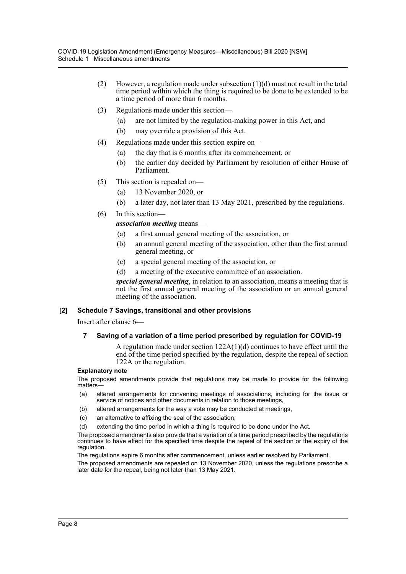- (2) However, a regulation made under subsection  $(1)(d)$  must not result in the total time period within which the thing is required to be done to be extended to be a time period of more than 6 months.
- (3) Regulations made under this section—
	- (a) are not limited by the regulation-making power in this Act, and
	- (b) may override a provision of this Act.
- (4) Regulations made under this section expire on—
	- (a) the day that is 6 months after its commencement, or
	- (b) the earlier day decided by Parliament by resolution of either House of Parliament.
- (5) This section is repealed on—
	- (a) 13 November 2020, or
	- (b) a later day, not later than 13 May 2021, prescribed by the regulations.
- (6) In this section—

### *association meeting* means—

- (a) a first annual general meeting of the association, or
- (b) an annual general meeting of the association, other than the first annual general meeting, or
- (c) a special general meeting of the association, or
- (d) a meeting of the executive committee of an association.

*special general meeting*, in relation to an association, means a meeting that is not the first annual general meeting of the association or an annual general meeting of the association.

#### **[2] Schedule 7 Savings, transitional and other provisions**

Insert after clause 6—

#### **7 Saving of a variation of a time period prescribed by regulation for COVID-19**

A regulation made under section 122A(1)(d) continues to have effect until the end of the time period specified by the regulation, despite the repeal of section 122A or the regulation.

#### **Explanatory note**

The proposed amendments provide that regulations may be made to provide for the following matters—

- (a) altered arrangements for convening meetings of associations, including for the issue or service of notices and other documents in relation to those meetings,
- (b) altered arrangements for the way a vote may be conducted at meetings,
- (c) an alternative to affixing the seal of the association,
- (d) extending the time period in which a thing is required to be done under the Act.

The proposed amendments also provide that a variation of a time period prescribed by the regulations continues to have effect for the specified time despite the repeal of the section or the expiry of the regulation.

The regulations expire 6 months after commencement, unless earlier resolved by Parliament.

The proposed amendments are repealed on 13 November 2020, unless the regulations prescribe a later date for the repeal, being not later than 13 May 2021.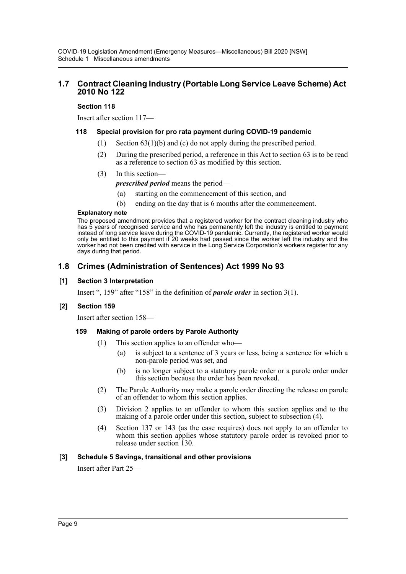## **1.7 Contract Cleaning Industry (Portable Long Service Leave Scheme) Act 2010 No 122**

#### **Section 118**

Insert after section 117—

#### **118 Special provision for pro rata payment during COVID-19 pandemic**

- (1) Section  $63(1)(b)$  and (c) do not apply during the prescribed period.
- (2) During the prescribed period, a reference in this Act to section 63 is to be read as a reference to section 63 as modified by this section.
- (3) In this section—

*prescribed period* means the period—

- (a) starting on the commencement of this section, and
- (b) ending on the day that is 6 months after the commencement.

#### **Explanatory note**

The proposed amendment provides that a registered worker for the contract cleaning industry who has 5 years of recognised service and who has permanently left the industry is entitled to payment instead of long service leave during the COVID-19 pandemic. Currently, the registered worker would only be entitled to this payment if 20 weeks had passed since the worker left the industry and the worker had not been credited with service in the Long Service Corporation's workers register for any days during that period.

## **1.8 Crimes (Administration of Sentences) Act 1999 No 93**

#### **[1] Section 3 Interpretation**

Insert ", 159" after "158" in the definition of *parole order* in section 3(1).

#### **[2] Section 159**

Insert after section 158—

#### **159 Making of parole orders by Parole Authority**

- (1) This section applies to an offender who—
	- (a) is subject to a sentence of 3 years or less, being a sentence for which a non-parole period was set, and
	- (b) is no longer subject to a statutory parole order or a parole order under this section because the order has been revoked.
- (2) The Parole Authority may make a parole order directing the release on parole of an offender to whom this section applies.
- (3) Division 2 applies to an offender to whom this section applies and to the making of a parole order under this section, subject to subsection (4).
- (4) Section 137 or 143 (as the case requires) does not apply to an offender to whom this section applies whose statutory parole order is revoked prior to release under section 130.

#### **[3] Schedule 5 Savings, transitional and other provisions**

Insert after Part 25—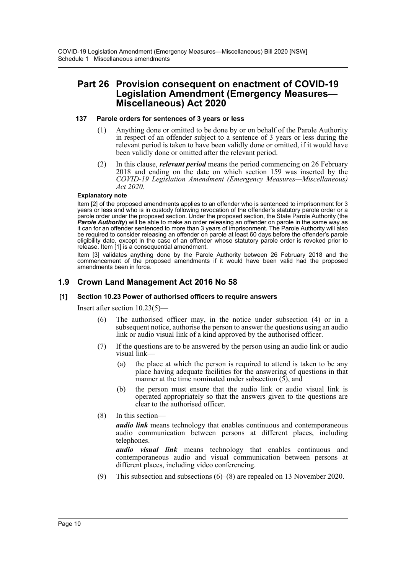## **Part 26 Provision consequent on enactment of COVID-19 Legislation Amendment (Emergency Measures— Miscellaneous) Act 2020**

#### **137 Parole orders for sentences of 3 years or less**

- (1) Anything done or omitted to be done by or on behalf of the Parole Authority in respect of an offender subject to a sentence of 3 years or less during the relevant period is taken to have been validly done or omitted, if it would have been validly done or omitted after the relevant period.
- (2) In this clause, *relevant period* means the period commencing on 26 February 2018 and ending on the date on which section 159 was inserted by the *COVID-19 Legislation Amendment (Emergency Measures—Miscellaneous) Act 2020*.

#### **Explanatory note**

Item [2] of the proposed amendments applies to an offender who is sentenced to imprisonment for 3 years or less and who is in custody following revocation of the offender's statutory parole order or a parole order under the proposed section. Under the proposed section, the State Parole Authority (the *Parole Authority*) will be able to make an order releasing an offender on parole in the same way as it can for an offender sentenced to more than 3 years of imprisonment. The Parole Authority will also be required to consider releasing an offender on parole at least 60 days before the offender's parole eligibility date, except in the case of an offender whose statutory parole order is revoked prior to release. Item [1] is a consequential amendment.

Item [3] validates anything done by the Parole Authority between 26 February 2018 and the commencement of the proposed amendments if it would have been valid had the proposed amendments been in force.

## **1.9 Crown Land Management Act 2016 No 58**

## **[1] Section 10.23 Power of authorised officers to require answers**

Insert after section 10.23(5)—

- (6) The authorised officer may, in the notice under subsection (4) or in a subsequent notice, authorise the person to answer the questions using an audio link or audio visual link of a kind approved by the authorised officer.
- (7) If the questions are to be answered by the person using an audio link or audio visual link—
	- (a) the place at which the person is required to attend is taken to be any place having adequate facilities for the answering of questions in that manner at the time nominated under subsection  $(5)$ , and
	- (b) the person must ensure that the audio link or audio visual link is operated appropriately so that the answers given to the questions are clear to the authorised officer.
- (8) In this section—

*audio link* means technology that enables continuous and contemporaneous audio communication between persons at different places, including telephones.

*audio visual link* means technology that enables continuous and contemporaneous audio and visual communication between persons at different places, including video conferencing.

(9) This subsection and subsections (6)–(8) are repealed on 13 November 2020.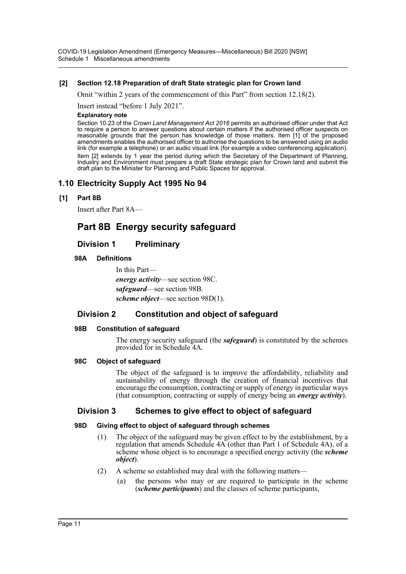COVID-19 Legislation Amendment (Emergency Measures—Miscellaneous) Bill 2020 [NSW] Schedule 1 Miscellaneous amendments

#### **[2] Section 12.18 Preparation of draft State strategic plan for Crown land**

Omit "within 2 years of the commencement of this Part" from section 12.18(2).

Insert instead "before 1 July 2021".

#### **Explanatory note**

Section 10.23 of the *Crown Land Management Act 2016* permits an authorised officer under that Act to require a person to answer questions about certain matters if the authorised officer suspects on reasonable grounds that the person has knowledge of those matters. Item [1] of the proposed amendments enables the authorised officer to authorise the questions to be answered using an audio link (for example a telephone) or an audio visual link (for example a video conferencing application). Item [2] extends by 1 year the period during which the Secretary of the Department of Planning, Industry and Environment must prepare a draft State strategic plan for Crown land and submit the draft plan to the Minister for Planning and Public Spaces for approval.

## **1.10 Electricity Supply Act 1995 No 94**

#### **[1] Part 8B**

Insert after Part 8A—

## **Part 8B Energy security safeguard**

## **Division 1 Preliminary**

### **98A Definitions**

In this Part *energy activity*—see section 98C. *safeguard*—see section 98B. *scheme object*—see section 98D(1).

## **Division 2 Constitution and object of safeguard**

#### **98B Constitution of safeguard**

The energy security safeguard (the *safeguard*) is constituted by the schemes provided for in Schedule 4A.

#### **98C Object of safeguard**

The object of the safeguard is to improve the affordability, reliability and sustainability of energy through the creation of financial incentives that encourage the consumption, contracting or supply of energy in particular ways (that consumption, contracting or supply of energy being an *energy activity*).

## **Division 3 Schemes to give effect to object of safeguard**

## **98D Giving effect to object of safeguard through schemes**

- (1) The object of the safeguard may be given effect to by the establishment, by a regulation that amends Schedule 4A (other than Part 1 of Schedule 4A), of a scheme whose object is to encourage a specified energy activity (the *scheme object*).
- (2) A scheme so established may deal with the following matters—
	- (a) the persons who may or are required to participate in the scheme (*scheme participants*) and the classes of scheme participants,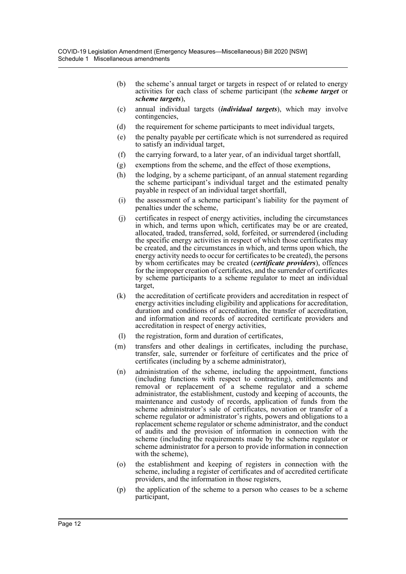- (b) the scheme's annual target or targets in respect of or related to energy activities for each class of scheme participant (the *scheme target* or *scheme targets*),
- (c) annual individual targets (*individual targets*), which may involve contingencies,
- (d) the requirement for scheme participants to meet individual targets,
- (e) the penalty payable per certificate which is not surrendered as required to satisfy an individual target,
- (f) the carrying forward, to a later year, of an individual target shortfall,
- (g) exemptions from the scheme, and the effect of those exemptions,
- (h) the lodging, by a scheme participant, of an annual statement regarding the scheme participant's individual target and the estimated penalty payable in respect of an individual target shortfall,
- (i) the assessment of a scheme participant's liability for the payment of penalties under the scheme,
- (j) certificates in respect of energy activities, including the circumstances in which, and terms upon which, certificates may be or are created, allocated, traded, transferred, sold, forfeited, or surrendered (including the specific energy activities in respect of which those certificates may be created, and the circumstances in which, and terms upon which, the energy activity needs to occur for certificates to be created), the persons by whom certificates may be created (*certificate providers*), offences for the improper creation of certificates, and the surrender of certificates by scheme participants to a scheme regulator to meet an individual target,
- (k) the accreditation of certificate providers and accreditation in respect of energy activities including eligibility and applications for accreditation, duration and conditions of accreditation, the transfer of accreditation, and information and records of accredited certificate providers and accreditation in respect of energy activities,
- (l) the registration, form and duration of certificates,
- (m) transfers and other dealings in certificates, including the purchase, transfer, sale, surrender or forfeiture of certificates and the price of certificates (including by a scheme administrator),
- (n) administration of the scheme, including the appointment, functions (including functions with respect to contracting), entitlements and removal or replacement of a scheme regulator and a scheme administrator, the establishment, custody and keeping of accounts, the maintenance and custody of records, application of funds from the scheme administrator's sale of certificates, novation or transfer of a scheme regulator or administrator's rights, powers and obligations to a replacement scheme regulator or scheme administrator, and the conduct of audits and the provision of information in connection with the scheme (including the requirements made by the scheme regulator or scheme administrator for a person to provide information in connection with the scheme),
- (o) the establishment and keeping of registers in connection with the scheme, including a register of certificates and of accredited certificate providers, and the information in those registers,
- (p) the application of the scheme to a person who ceases to be a scheme participant,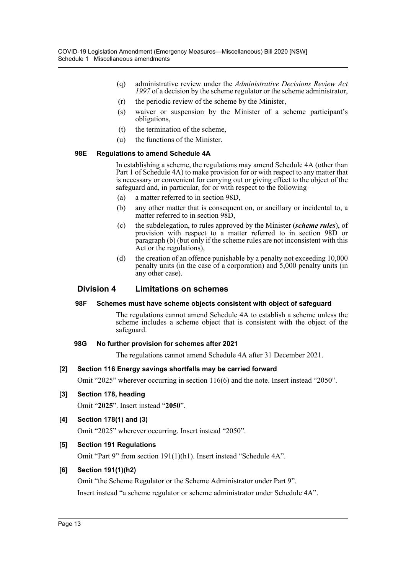- (q) administrative review under the *Administrative Decisions Review Act 1997* of a decision by the scheme regulator or the scheme administrator,
- (r) the periodic review of the scheme by the Minister,
- (s) waiver or suspension by the Minister of a scheme participant's obligations,
- (t) the termination of the scheme,
- (u) the functions of the Minister.

#### **98E Regulations to amend Schedule 4A**

In establishing a scheme, the regulations may amend Schedule 4A (other than Part 1 of Schedule 4A) to make provision for or with respect to any matter that is necessary or convenient for carrying out or giving effect to the object of the safeguard and, in particular, for or with respect to the following—

- (a) a matter referred to in section 98D,
- (b) any other matter that is consequent on, or ancillary or incidental to, a matter referred to in section 98D,
- (c) the subdelegation, to rules approved by the Minister (*scheme rules*), of provision with respect to a matter referred to in section 98D or paragraph (b) (but only if the scheme rules are not inconsistent with this Act or the regulations),
- (d) the creation of an offence punishable by a penalty not exceeding 10,000 penalty units (in the case of a corporation) and 5,000 penalty units (in any other case).

## **Division 4 Limitations on schemes**

#### **98F Schemes must have scheme objects consistent with object of safeguard**

The regulations cannot amend Schedule 4A to establish a scheme unless the scheme includes a scheme object that is consistent with the object of the safeguard.

#### **98G No further provision for schemes after 2021**

The regulations cannot amend Schedule 4A after 31 December 2021.

#### **[2] Section 116 Energy savings shortfalls may be carried forward**

Omit "2025" wherever occurring in section 116(6) and the note. Insert instead "2050".

**[3] Section 178, heading**

Omit "**2025**". Insert instead "**2050**".

**[4] Section 178(1) and (3)**

Omit "2025" wherever occurring. Insert instead "2050".

## **[5] Section 191 Regulations**

Omit "Part 9" from section 191(1)(h1). Insert instead "Schedule 4A".

## **[6] Section 191(1)(h2)**

Omit "the Scheme Regulator or the Scheme Administrator under Part 9".

Insert instead "a scheme regulator or scheme administrator under Schedule 4A".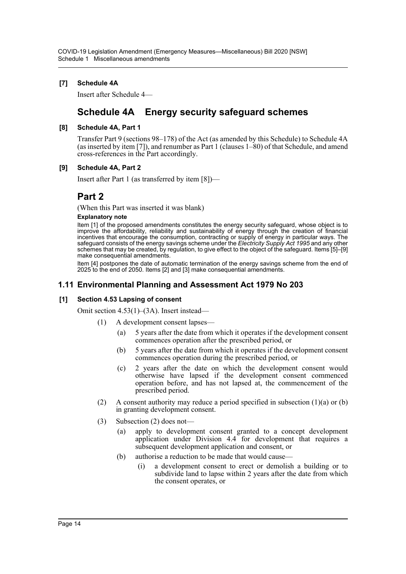## **[7] Schedule 4A**

Insert after Schedule 4—

## **Schedule 4A Energy security safeguard schemes**

## **[8] Schedule 4A, Part 1**

Transfer Part 9 (sections 98–178) of the Act (as amended by this Schedule) to Schedule 4A (as inserted by item [7]), and renumber as Part 1 (clauses 1–80) of that Schedule, and amend cross-references in the Part accordingly.

## **[9] Schedule 4A, Part 2**

Insert after Part 1 (as transferred by item [8])—

## **Part 2**

(When this Part was inserted it was blank)

#### **Explanatory note**

Item [1] of the proposed amendments constitutes the energy security safeguard, whose object is to improve the affordability, reliability and sustainability of energy through the creation of financial incentives that encourage the consumption, contracting or supply of energy in particular ways. The safeguard consists of the energy savings scheme under the *Electricity Supply Act 1995* and any other schemes that may be created, by regulation, to give effect to the object of the safeguard. Items [5]–[9] make consequential amendments.

Item [4] postpones the date of automatic termination of the energy savings scheme from the end of 2025 to the end of 2050. Items [2] and [3] make consequential amendments.

## **1.11 Environmental Planning and Assessment Act 1979 No 203**

## **[1] Section 4.53 Lapsing of consent**

Omit section 4.53(1)–(3A). Insert instead—

- (1) A development consent lapses—
	- (a) 5 years after the date from which it operates if the development consent commences operation after the prescribed period, or
	- (b) 5 years after the date from which it operates if the development consent commences operation during the prescribed period, or
	- (c) 2 years after the date on which the development consent would otherwise have lapsed if the development consent commenced operation before, and has not lapsed at, the commencement of the prescribed period.
- (2) A consent authority may reduce a period specified in subsection  $(1)(a)$  or  $(b)$ in granting development consent.
- (3) Subsection (2) does not—
	- (a) apply to development consent granted to a concept development application under Division 4.4 for development that requires a subsequent development application and consent, or
	- (b) authorise a reduction to be made that would cause—
		- (i) a development consent to erect or demolish a building or to subdivide land to lapse within 2 years after the date from which the consent operates, or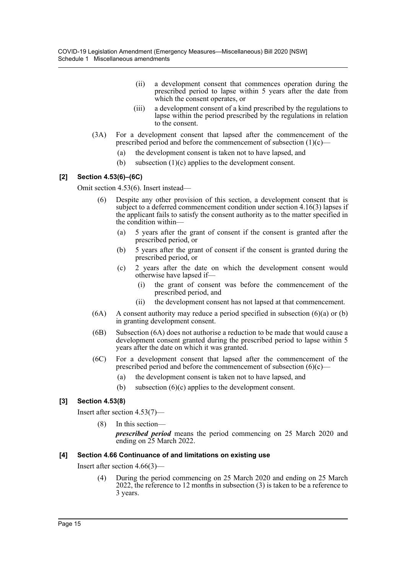- (ii) a development consent that commences operation during the prescribed period to lapse within 5 years after the date from which the consent operates, or
- (iii) a development consent of a kind prescribed by the regulations to lapse within the period prescribed by the regulations in relation to the consent.
- (3A) For a development consent that lapsed after the commencement of the prescribed period and before the commencement of subsection  $(1)(c)$ —
	- (a) the development consent is taken not to have lapsed, and
	- (b) subsection (1)(c) applies to the development consent.

## **[2] Section 4.53(6)–(6C)**

Omit section 4.53(6). Insert instead—

- (6) Despite any other provision of this section, a development consent that is subject to a deferred commencement condition under section 4.16(3) lapses if the applicant fails to satisfy the consent authority as to the matter specified in the condition within—
	- (a) 5 years after the grant of consent if the consent is granted after the prescribed period, or
	- (b) 5 years after the grant of consent if the consent is granted during the prescribed period, or
	- (c) 2 years after the date on which the development consent would otherwise have lapsed if—
		- (i) the grant of consent was before the commencement of the prescribed period, and
		- (ii) the development consent has not lapsed at that commencement.
- $(6A)$  A consent authority may reduce a period specified in subsection  $(6)(a)$  or  $(b)$ in granting development consent.
- (6B) Subsection (6A) does not authorise a reduction to be made that would cause a development consent granted during the prescribed period to lapse within 5 years after the date on which it was granted.
- (6C) For a development consent that lapsed after the commencement of the prescribed period and before the commencement of subsection  $(6)(c)$ —
	- (a) the development consent is taken not to have lapsed, and
	- (b) subsection (6)(c) applies to the development consent.

## **[3] Section 4.53(8)**

Insert after section 4.53(7)—

(8) In this section—

*prescribed period* means the period commencing on 25 March 2020 and ending on 25 March 2022.

#### **[4] Section 4.66 Continuance of and limitations on existing use**

Insert after section 4.66(3)—

(4) During the period commencing on 25 March 2020 and ending on 25 March 2022, the reference to 12 months in subsection (3) is taken to be a reference to 3 years.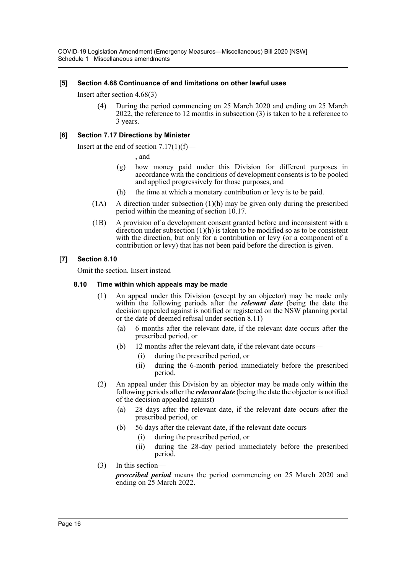## **[5] Section 4.68 Continuance of and limitations on other lawful uses**

Insert after section 4.68(3)—

(4) During the period commencing on 25 March 2020 and ending on 25 March 2022, the reference to 12 months in subsection (3) is taken to be a reference to 3 years.

## **[6] Section 7.17 Directions by Minister**

Insert at the end of section 7.17(1)(f)—

, and

- (g) how money paid under this Division for different purposes in accordance with the conditions of development consents is to be pooled and applied progressively for those purposes, and
- (h) the time at which a monetary contribution or levy is to be paid.
- (1A) A direction under subsection (1)(h) may be given only during the prescribed period within the meaning of section 10.17.
- (1B) A provision of a development consent granted before and inconsistent with a direction under subsection (1)(h) is taken to be modified so as to be consistent with the direction, but only for a contribution or levy (or a component of a contribution or levy) that has not been paid before the direction is given.

### **[7] Section 8.10**

Omit the section. Insert instead—

#### **8.10 Time within which appeals may be made**

- (1) An appeal under this Division (except by an objector) may be made only within the following periods after the *relevant date* (being the date the decision appealed against is notified or registered on the NSW planning portal or the date of deemed refusal under section 8.11)—
	- (a) 6 months after the relevant date, if the relevant date occurs after the prescribed period, or
	- (b) 12 months after the relevant date, if the relevant date occurs—
		- (i) during the prescribed period, or
		- (ii) during the 6-month period immediately before the prescribed period.
- (2) An appeal under this Division by an objector may be made only within the following periods after the *relevant date* (being the date the objector is notified of the decision appealed against)—
	- (a) 28 days after the relevant date, if the relevant date occurs after the prescribed period, or
	- (b) 56 days after the relevant date, if the relevant date occurs—
		- (i) during the prescribed period, or
		- (ii) during the 28-day period immediately before the prescribed period.
- (3) In this section—

*prescribed period* means the period commencing on 25 March 2020 and ending on 25 March 2022.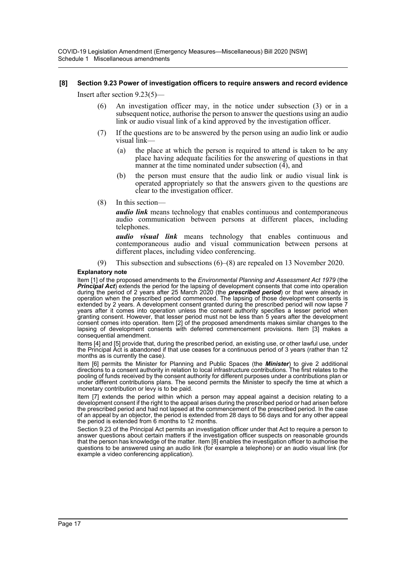#### **[8] Section 9.23 Power of investigation officers to require answers and record evidence**

Insert after section 9.23(5)—

- (6) An investigation officer may, in the notice under subsection (3) or in a subsequent notice, authorise the person to answer the questions using an audio link or audio visual link of a kind approved by the investigation officer.
- (7) If the questions are to be answered by the person using an audio link or audio visual link—
	- (a) the place at which the person is required to attend is taken to be any place having adequate facilities for the answering of questions in that manner at the time nominated under subsection (4), and
	- (b) the person must ensure that the audio link or audio visual link is operated appropriately so that the answers given to the questions are clear to the investigation officer.
- (8) In this section—

*audio link* means technology that enables continuous and contemporaneous audio communication between persons at different places, including telephones.

*audio visual link* means technology that enables continuous and contemporaneous audio and visual communication between persons at different places, including video conferencing.

(9) This subsection and subsections (6)–(8) are repealed on 13 November 2020.

#### **Explanatory note**

Item [1] of the proposed amendments to the *Environmental Planning and Assessment Act 1979* (the **Principal Act**) extends the period for the lapsing of development consents that come into operation during the period of 2 years after 25 March 2020 (the *prescribed period*) or that were already in operation when the prescribed period commenced. The lapsing of those development consents is extended by 2 years. A development consent granted during the prescribed period will now lapse 7 years after it comes into operation unless the consent authority specifies a lesser period when granting consent. However, that lesser period must not be less than 5 years after the development consent comes into operation. Item [2] of the proposed amendments makes similar changes to the lapsing of development consents with deferred commencement provisions. Item [3] makes a consequential amendment.

Items [4] and [5] provide that, during the prescribed period, an existing use, or other lawful use, under the Principal Act is abandoned if that use ceases for a continuous period of 3 years (rather than 12 months as is currently the case).

Item [6] permits the Minister for Planning and Public Spaces (the *Minister*) to give 2 additional directions to a consent authority in relation to local infrastructure contributions. The first relates to the pooling of funds received by the consent authority for different purposes under a contributions plan or under different contributions plans. The second permits the Minister to specify the time at which a monetary contribution or levy is to be paid.

Item [7] extends the period within which a person may appeal against a decision relating to a development consent if the right to the appeal arises during the prescribed period or had arisen before the prescribed period and had not lapsed at the commencement of the prescribed period. In the case of an appeal by an objector, the period is extended from 28 days to 56 days and for any other appeal the period is extended from 6 months to 12 months.

Section 9.23 of the Principal Act permits an investigation officer under that Act to require a person to answer questions about certain matters if the investigation officer suspects on reasonable grounds that the person has knowledge of the matter. Item [8] enables the investigation officer to authorise the questions to be answered using an audio link (for example a telephone) or an audio visual link (for example a video conferencing application).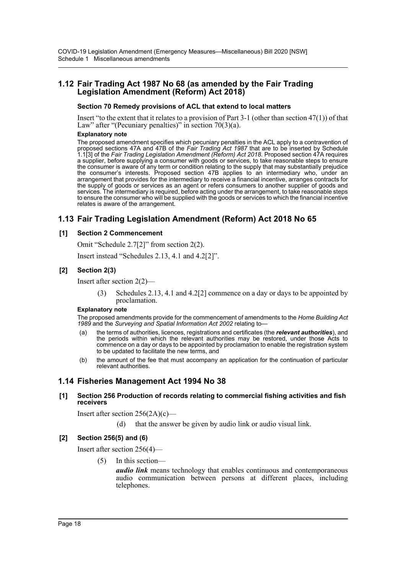## **1.12 Fair Trading Act 1987 No 68 (as amended by the Fair Trading Legislation Amendment (Reform) Act 2018)**

#### **Section 70 Remedy provisions of ACL that extend to local matters**

Insert "to the extent that it relates to a provision of Part 3-1 (other than section 47(1)) of that Law" after "(Pecuniary penalties)" in section  $70(3)(a)$ .

#### **Explanatory note**

The proposed amendment specifies which pecuniary penalties in the ACL apply to a contravention of proposed sections 47A and 47B of the *Fair Trading Act 1987* that are to be inserted by Schedule 1.1[3] of the *Fair Trading Legislation Amendment (Reform) Act 2018*. Proposed section 47A requires a supplier, before supplying a consumer with goods or services, to take reasonable steps to ensure the consumer is aware of any term or condition relating to the supply that may substantially prejudice the consumer's interests. Proposed section 47B applies to an intermediary who, under an arrangement that provides for the intermediary to receive a financial incentive, arranges contracts for the supply of goods or services as an agent or refers consumers to another supplier of goods and services. The intermediary is required, before acting under the arrangement, to take reasonable steps to ensure the consumer who will be supplied with the goods or services to which the financial incentive relates is aware of the arrangement.

## **1.13 Fair Trading Legislation Amendment (Reform) Act 2018 No 65**

#### **[1] Section 2 Commencement**

Omit "Schedule 2.7[2]" from section 2(2).

Insert instead "Schedules 2.13, 4.1 and 4.2[2]".

### **[2] Section 2(3)**

Insert after section 2(2)—

Schedules 2.13, 4.1 and 4.2[2] commence on a day or days to be appointed by proclamation.

#### **Explanatory note**

The proposed amendments provide for the commencement of amendments to the *Home Building Act 1989* and the *Surveying and Spatial Information Act 2002* relating to—

- (a) the terms of authorities, licences, registrations and certificates (the *relevant authorities*), and the periods within which the relevant authorities may be restored, under those Acts to commence on a day or days to be appointed by proclamation to enable the registration system to be updated to facilitate the new terms, and
- (b) the amount of the fee that must accompany an application for the continuation of particular relevant authorities.

## **1.14 Fisheries Management Act 1994 No 38**

#### **[1] Section 256 Production of records relating to commercial fishing activities and fish receivers**

Insert after section 256(2A)(c)—

(d) that the answer be given by audio link or audio visual link.

#### **[2] Section 256(5) and (6)**

Insert after section 256(4)—

(5) In this section—

*audio link* means technology that enables continuous and contemporaneous audio communication between persons at different places, including telephones.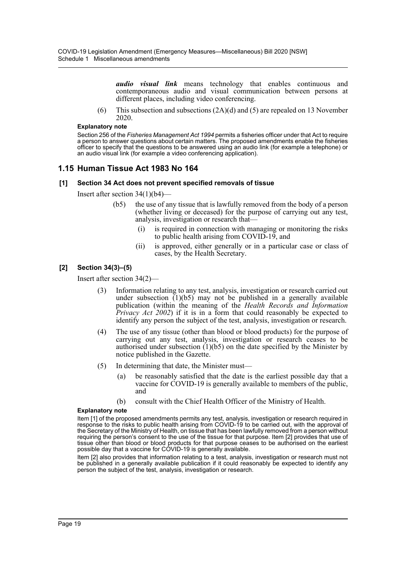*audio visual link* means technology that enables continuous and contemporaneous audio and visual communication between persons at different places, including video conferencing.

(6) This subsection and subsections  $(2A)(d)$  and (5) are repealed on 13 November 2020.

#### **Explanatory note**

Section 256 of the *Fisheries Management Act 1994* permits a fisheries officer under that Act to require a person to answer questions about certain matters. The proposed amendments enable the fisheries officer to specify that the questions to be answered using an audio link (for example a telephone) or an audio visual link (for example a video conferencing application).

## **1.15 Human Tissue Act 1983 No 164**

#### **[1] Section 34 Act does not prevent specified removals of tissue**

Insert after section 34(1)(b4)—

- (b5) the use of any tissue that is lawfully removed from the body of a person (whether living or deceased) for the purpose of carrying out any test, analysis, investigation or research that—
	- (i) is required in connection with managing or monitoring the risks to public health arising from COVID-19, and
	- (ii) is approved, either generally or in a particular case or class of cases, by the Health Secretary.

#### **[2] Section 34(3)–(5)**

Insert after section 34(2)—

- (3) Information relating to any test, analysis, investigation or research carried out under subsection  $(1)(b5)$  may not be published in a generally available publication (within the meaning of the *Health Records and Information Privacy Act 2002*) if it is in a form that could reasonably be expected to identify any person the subject of the test, analysis, investigation or research.
- (4) The use of any tissue (other than blood or blood products) for the purpose of carrying out any test, analysis, investigation or research ceases to be authorised under subsection  $(1)(b5)$  on the date specified by the Minister by notice published in the Gazette.
- (5) In determining that date, the Minister must—
	- (a) be reasonably satisfied that the date is the earliest possible day that a vaccine for COVID-19 is generally available to members of the public, and
	- (b) consult with the Chief Health Officer of the Ministry of Health.

#### **Explanatory note**

Item [1] of the proposed amendments permits any test, analysis, investigation or research required in response to the risks to public health arising from COVID-19 to be carried out, with the approval of the Secretary of the Ministry of Health, on tissue that has been lawfully removed from a person without requiring the person's consent to the use of the tissue for that purpose. Item [2] provides that use of tissue other than blood or blood products for that purpose ceases to be authorised on the earliest possible day that a vaccine for COVID-19 is generally available.

Item [2] also provides that information relating to a test, analysis, investigation or research must not be published in a generally available publication if it could reasonably be expected to identify any person the subject of the test, analysis, investigation or research.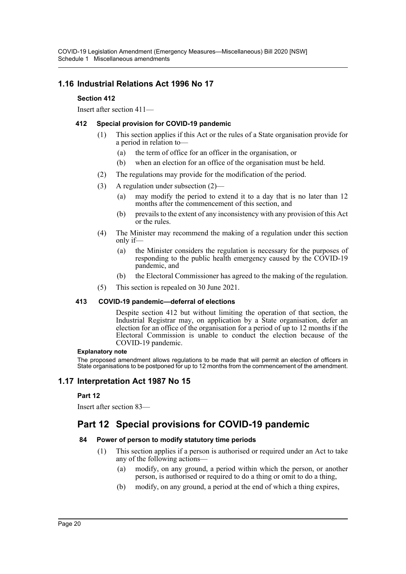## **1.16 Industrial Relations Act 1996 No 17**

## **Section 412**

Insert after section 411—

## **412 Special provision for COVID-19 pandemic**

- (1) This section applies if this Act or the rules of a State organisation provide for a period in relation to—
	- (a) the term of office for an officer in the organisation, or
	- (b) when an election for an office of the organisation must be held.
- (2) The regulations may provide for the modification of the period.
- (3) A regulation under subsection (2)—
	- (a) may modify the period to extend it to a day that is no later than 12 months after the commencement of this section, and
	- (b) prevails to the extent of any inconsistency with any provision of this Act or the rules.
- (4) The Minister may recommend the making of a regulation under this section only if—
	- (a) the Minister considers the regulation is necessary for the purposes of responding to the public health emergency caused by the COVID-19 pandemic, and
	- (b) the Electoral Commissioner has agreed to the making of the regulation.
- (5) This section is repealed on 30 June 2021.

## **413 COVID-19 pandemic—deferral of elections**

Despite section 412 but without limiting the operation of that section, the Industrial Registrar may, on application by a State organisation, defer an election for an office of the organisation for a period of up to 12 months if the Electoral Commission is unable to conduct the election because of the COVID-19 pandemic.

#### **Explanatory note**

The proposed amendment allows regulations to be made that will permit an election of officers in State organisations to be postponed for up to 12 months from the commencement of the amendment.

## **1.17 Interpretation Act 1987 No 15**

## **Part 12**

Insert after section 83—

## **Part 12 Special provisions for COVID-19 pandemic**

## **84 Power of person to modify statutory time periods**

- (1) This section applies if a person is authorised or required under an Act to take any of the following actions—
	- (a) modify, on any ground, a period within which the person, or another person, is authorised or required to do a thing or omit to do a thing,
	- (b) modify, on any ground, a period at the end of which a thing expires,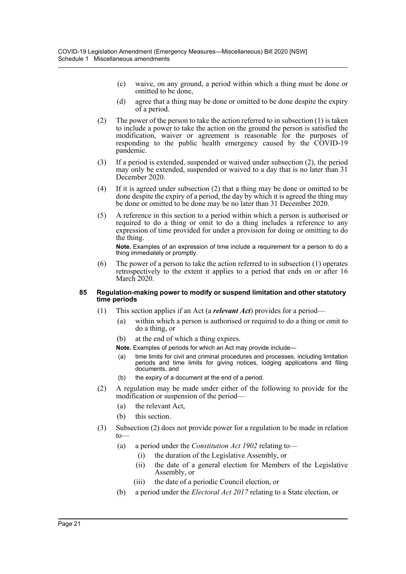- (c) waive, on any ground, a period within which a thing must be done or omitted to be done,
- (d) agree that a thing may be done or omitted to be done despite the expiry of a period.
- (2) The power of the person to take the action referred to in subsection (1) is taken to include a power to take the action on the ground the person is satisfied the modification, waiver or agreement is reasonable for the purposes of responding to the public health emergency caused by the COVID-19 pandemic.
- (3) If a period is extended, suspended or waived under subsection (2), the period may only be extended, suspended or waived to a day that is no later than 31 December 2020.
- (4) If it is agreed under subsection (2) that a thing may be done or omitted to be done despite the expiry of a period, the day by which it is agreed the thing may be done or omitted to be done may be no later than 31 December 2020.
- (5) A reference in this section to a period within which a person is authorised or required to do a thing or omit to do a thing includes a reference to any expression of time provided for under a provision for doing or omitting to do the thing.

**Note.** Examples of an expression of time include a requirement for a person to do a thing immediately or promptly.

(6) The power of a person to take the action referred to in subsection (1) operates retrospectively to the extent it applies to a period that ends on or after 16 March 2020.

#### **85 Regulation-making power to modify or suspend limitation and other statutory time periods**

- (1) This section applies if an Act (a *relevant Act*) provides for a period—
	- (a) within which a person is authorised or required to do a thing or omit to do a thing, or
	- (b) at the end of which a thing expires.
	- **Note.** Examples of periods for which an Act may provide include—
	- (a) time limits for civil and criminal procedures and processes, including limitation periods and time limits for giving notices, lodging applications and filing documents, and
	- (b) the expiry of a document at the end of a period.
- (2) A regulation may be made under either of the following to provide for the modification or suspension of the period—
	- (a) the relevant Act,
	- (b) this section.
- (3) Subsection (2) does not provide power for a regulation to be made in relation to—
	- (a) a period under the *Constitution Act 1902* relating to—
		- (i) the duration of the Legislative Assembly, or
		- (ii) the date of a general election for Members of the Legislative Assembly, or
		- (iii) the date of a periodic Council election, or
	- (b) a period under the *Electoral Act 2017* relating to a State election, or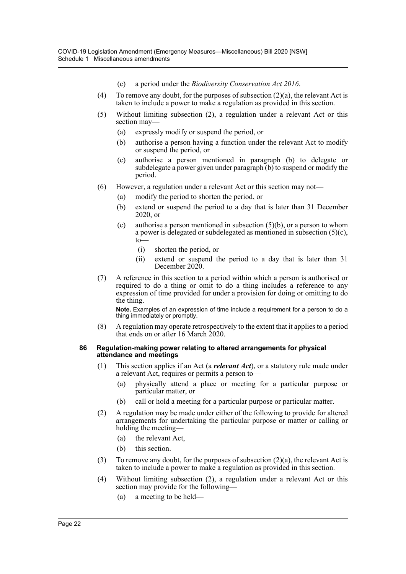- (c) a period under the *Biodiversity Conservation Act 2016*.
- (4) To remove any doubt, for the purposes of subsection  $(2)(a)$ , the relevant Act is taken to include a power to make a regulation as provided in this section.
- (5) Without limiting subsection (2), a regulation under a relevant Act or this section may—
	- (a) expressly modify or suspend the period, or
	- (b) authorise a person having a function under the relevant Act to modify or suspend the period, or
	- (c) authorise a person mentioned in paragraph (b) to delegate or subdelegate a power given under paragraph (b) to suspend or modify the period.
- (6) However, a regulation under a relevant Act or this section may not—
	- (a) modify the period to shorten the period, or
	- (b) extend or suspend the period to a day that is later than 31 December 2020, or
	- (c) authorise a person mentioned in subsection  $(5)(b)$ , or a person to whom a power is delegated or subdelegated as mentioned in subsection  $(5)(c)$ ,  $to$ 
		- (i) shorten the period, or
		- (ii) extend or suspend the period to a day that is later than 31 December 2020.
- (7) A reference in this section to a period within which a person is authorised or required to do a thing or omit to do a thing includes a reference to any expression of time provided for under a provision for doing or omitting to do the thing.

**Note.** Examples of an expression of time include a requirement for a person to do a thing immediately or promptly.

(8) A regulation may operate retrospectively to the extent that it applies to a period that ends on or after 16 March 2020.

#### **86 Regulation-making power relating to altered arrangements for physical attendance and meetings**

- (1) This section applies if an Act (a *relevant Act*), or a statutory rule made under a relevant Act, requires or permits a person to—
	- (a) physically attend a place or meeting for a particular purpose or particular matter, or
	- (b) call or hold a meeting for a particular purpose or particular matter.
- (2) A regulation may be made under either of the following to provide for altered arrangements for undertaking the particular purpose or matter or calling or holding the meeting—
	- (a) the relevant Act,
	- (b) this section.
- (3) To remove any doubt, for the purposes of subsection (2)(a), the relevant Act is taken to include a power to make a regulation as provided in this section.
- (4) Without limiting subsection (2), a regulation under a relevant Act or this section may provide for the following—
	- (a) a meeting to be held—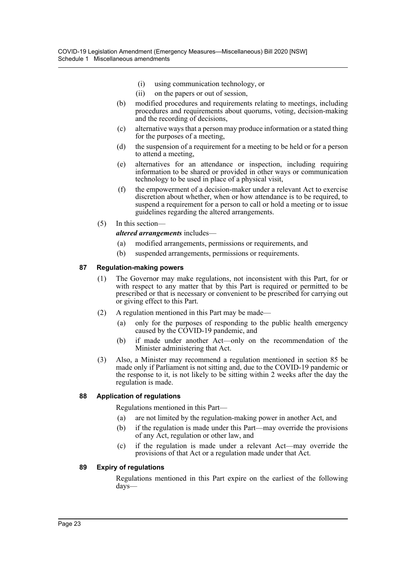- (i) using communication technology, or
- (ii) on the papers or out of session,
- (b) modified procedures and requirements relating to meetings, including procedures and requirements about quorums, voting, decision-making and the recording of decisions,
- (c) alternative ways that a person may produce information or a stated thing for the purposes of a meeting,
- (d) the suspension of a requirement for a meeting to be held or for a person to attend a meeting,
- (e) alternatives for an attendance or inspection, including requiring information to be shared or provided in other ways or communication technology to be used in place of a physical visit,
- (f) the empowerment of a decision-maker under a relevant Act to exercise discretion about whether, when or how attendance is to be required, to suspend a requirement for a person to call or hold a meeting or to issue guidelines regarding the altered arrangements.
- (5) In this section—

*altered arrangements* includes—

- (a) modified arrangements, permissions or requirements, and
- (b) suspended arrangements, permissions or requirements.

### **87 Regulation-making powers**

- (1) The Governor may make regulations, not inconsistent with this Part, for or with respect to any matter that by this Part is required or permitted to be prescribed or that is necessary or convenient to be prescribed for carrying out or giving effect to this Part.
- (2) A regulation mentioned in this Part may be made—
	- (a) only for the purposes of responding to the public health emergency caused by the COVID-19 pandemic, and
	- (b) if made under another Act—only on the recommendation of the Minister administering that Act.
- (3) Also, a Minister may recommend a regulation mentioned in section 85 be made only if Parliament is not sitting and, due to the COVID-19 pandemic or the response to it, is not likely to be sitting within 2 weeks after the day the regulation is made.

#### **88 Application of regulations**

Regulations mentioned in this Part—

- (a) are not limited by the regulation-making power in another Act, and
- (b) if the regulation is made under this Part—may override the provisions of any Act, regulation or other law, and
- (c) if the regulation is made under a relevant Act—may override the provisions of that Act or a regulation made under that Act.

#### **89 Expiry of regulations**

Regulations mentioned in this Part expire on the earliest of the following days—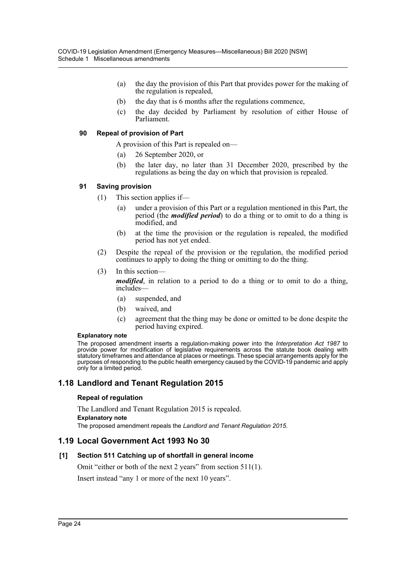- (a) the day the provision of this Part that provides power for the making of the regulation is repealed,
- (b) the day that is 6 months after the regulations commence,
- (c) the day decided by Parliament by resolution of either House of Parliament.

#### **90 Repeal of provision of Part**

A provision of this Part is repealed on—

- (a) 26 September 2020, or
- (b) the later day, no later than 31 December 2020, prescribed by the regulations as being the day on which that provision is repealed.

#### **91 Saving provision**

- (1) This section applies if—
	- (a) under a provision of this Part or a regulation mentioned in this Part, the period (the *modified period*) to do a thing or to omit to do a thing is modified, and
	- (b) at the time the provision or the regulation is repealed, the modified period has not yet ended.
- (2) Despite the repeal of the provision or the regulation, the modified period continues to apply to doing the thing or omitting to do the thing.
- (3) In this section—

*modified*, in relation to a period to do a thing or to omit to do a thing, includes—

- (a) suspended, and
- (b) waived, and
- (c) agreement that the thing may be done or omitted to be done despite the period having expired.

#### **Explanatory note**

The proposed amendment inserts a regulation-making power into the *Interpretation Act 1987* to provide power for modification of legislative requirements across the statute book dealing with statutory timeframes and attendance at places or meetings. These special arrangements apply for the purposes of responding to the public health emergency caused by the COVID-19 pandemic and apply only for a limited period.

## **1.18 Landlord and Tenant Regulation 2015**

#### **Repeal of regulation**

The Landlord and Tenant Regulation 2015 is repealed. **Explanatory note** The proposed amendment repeals the *Landlord and Tenant Regulation 2015*.

## **1.19 Local Government Act 1993 No 30**

#### **[1] Section 511 Catching up of shortfall in general income**

Omit "either or both of the next 2 years" from section 511(1).

Insert instead "any 1 or more of the next 10 years".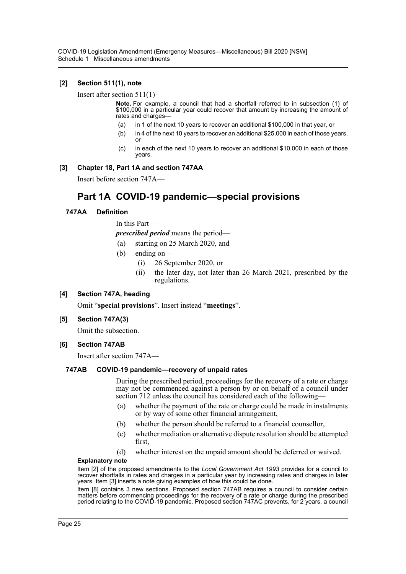COVID-19 Legislation Amendment (Emergency Measures—Miscellaneous) Bill 2020 [NSW] Schedule 1 Miscellaneous amendments

#### **[2] Section 511(1), note**

Insert after section 511(1)—

**Note.** For example, a council that had a shortfall referred to in subsection (1) of \$100,000 in a particular year could recover that amount by increasing the amount of rates and charges—

- (a) in 1 of the next 10 years to recover an additional \$100,000 in that year, or
- (b) in 4 of the next 10 years to recover an additional \$25,000 in each of those years, or
- (c) in each of the next 10 years to recover an additional \$10,000 in each of those years.

#### **[3] Chapter 18, Part 1A and section 747AA**

Insert before section 747A—

## **Part 1A COVID-19 pandemic—special provisions**

#### **747AA Definition**

In this Part—

*prescribed period* means the period—

- (a) starting on 25 March 2020, and
- (b) ending on—
	- (i) 26 September 2020, or
	- (ii) the later day, not later than 26 March 2021, prescribed by the regulations.

#### **[4] Section 747A, heading**

Omit "**special provisions**". Insert instead "**meetings**".

#### **[5] Section 747A(3)**

Omit the subsection.

#### **[6] Section 747AB**

Insert after section 747A—

#### **747AB COVID-19 pandemic—recovery of unpaid rates**

During the prescribed period, proceedings for the recovery of a rate or charge may not be commenced against a person by or on behalf of a council under section 712 unless the council has considered each of the following-

- (a) whether the payment of the rate or charge could be made in instalments or by way of some other financial arrangement,
- (b) whether the person should be referred to a financial counsellor,
- (c) whether mediation or alternative dispute resolution should be attempted first,
- (d) whether interest on the unpaid amount should be deferred or waived.

#### **Explanatory note**

Item [2] of the proposed amendments to the *Local Government Act 1993* provides for a council to recover shortfalls in rates and charges in a particular year by increasing rates and charges in later years. Item [3] inserts a note giving examples of how this could be done.

Item [8] contains 3 new sections. Proposed section 747AB requires a council to consider certain matters before commencing proceedings for the recovery of a rate or charge during the prescribed period relating to the COVID-19 pandemic. Proposed section 747AC prevents, for 2 years, a council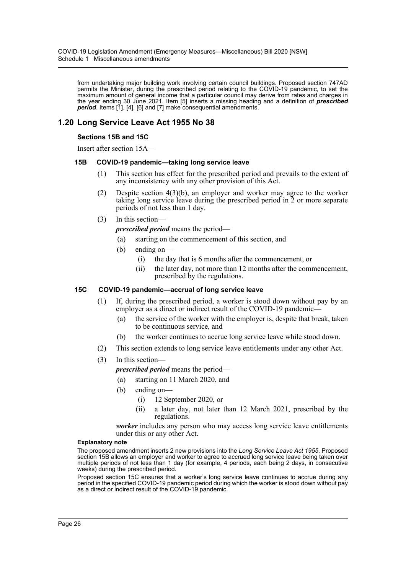from undertaking major building work involving certain council buildings. Proposed section 747AD permits the Minister, during the prescribed period relating to the COVID-19 pandemic, to set the maximum amount of general income that a particular council may derive from rates and charges in the year ending 30 June 2021. Item [5] inserts a missing heading and a definition of *prescribed period*. Items [1], [4], [6] and [7] make consequential amendments.

## **1.20 Long Service Leave Act 1955 No 38**

#### **Sections 15B and 15C**

Insert after section 15A—

#### **15B COVID-19 pandemic—taking long service leave**

- (1) This section has effect for the prescribed period and prevails to the extent of any inconsistency with any other provision of this Act.
- (2) Despite section 4(3)(b), an employer and worker may agree to the worker taking long service leave during the prescribed period in 2 or more separate periods of not less than 1 day.
- (3) In this section—

*prescribed period* means the period—

- (a) starting on the commencement of this section, and
- (b) ending on—
	- (i) the day that is 6 months after the commencement, or
	- (ii) the later day, not more than 12 months after the commencement, prescribed by the regulations.

#### **15C COVID-19 pandemic—accrual of long service leave**

- (1) If, during the prescribed period, a worker is stood down without pay by an employer as a direct or indirect result of the COVID-19 pandemic—
	- (a) the service of the worker with the employer is, despite that break, taken to be continuous service, and
	- (b) the worker continues to accrue long service leave while stood down.
- (2) This section extends to long service leave entitlements under any other Act.
- (3) In this section
	- *prescribed period* means the period—

(a) starting on 11 March 2020, and

- (b) ending on—
	- (i) 12 September 2020, or
	- (ii) a later day, not later than 12 March 2021, prescribed by the regulations.

*worker* includes any person who may access long service leave entitlements under this or any other Act.

#### **Explanatory note**

The proposed amendment inserts 2 new provisions into the *Long Service Leave Act 1955*. Proposed section 15B allows an employer and worker to agree to accrued long service leave being taken over multiple periods of not less than 1 day (for example, 4 periods, each being 2 days, in consecutive weeks) during the prescribed period.

Proposed section 15C ensures that a worker's long service leave continues to accrue during any period in the specified COVID-19 pandemic period during which the worker is stood down without pay as a direct or indirect result of the COVID-19 pandemic.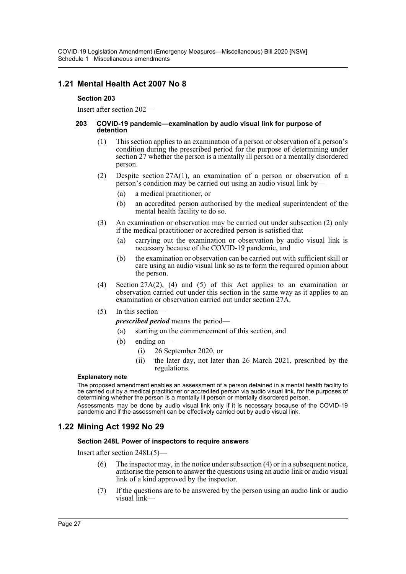## **1.21 Mental Health Act 2007 No 8**

#### **Section 203**

Insert after section 202—

#### **203 COVID-19 pandemic—examination by audio visual link for purpose of detention**

- (1) This section applies to an examination of a person or observation of a person's condition during the prescribed period for the purpose of determining under section 27 whether the person is a mentally ill person or a mentally disordered person.
- (2) Despite section 27A(1), an examination of a person or observation of a person's condition may be carried out using an audio visual link by—
	- (a) a medical practitioner, or
	- (b) an accredited person authorised by the medical superintendent of the mental health facility to do so.
- (3) An examination or observation may be carried out under subsection (2) only if the medical practitioner or accredited person is satisfied that—
	- (a) carrying out the examination or observation by audio visual link is necessary because of the COVID-19 pandemic, and
	- (b) the examination or observation can be carried out with sufficient skill or care using an audio visual link so as to form the required opinion about the person.
- (4) Section 27A(2), (4) and (5) of this Act applies to an examination or observation carried out under this section in the same way as it applies to an examination or observation carried out under section 27A.

#### (5) In this section—

- *prescribed period* means the period—
	- (a) starting on the commencement of this section, and
- (b) ending on—
	- (i) 26 September 2020, or
	- (ii) the later day, not later than 26 March 2021, prescribed by the regulations.

#### **Explanatory note**

The proposed amendment enables an assessment of a person detained in a mental health facility to be carried out by a medical practitioner or accredited person via audio visual link, for the purposes of determining whether the person is a mentally ill person or mentally disordered person.

Assessments may be done by audio visual link only if it is necessary because of the COVID-19 pandemic and if the assessment can be effectively carried out by audio visual link.

## **1.22 Mining Act 1992 No 29**

#### **Section 248L Power of inspectors to require answers**

Insert after section 248L(5)—

- (6) The inspector may, in the notice under subsection (4) or in a subsequent notice, authorise the person to answer the questions using an audio link or audio visual link of a kind approved by the inspector.
- (7) If the questions are to be answered by the person using an audio link or audio visual link—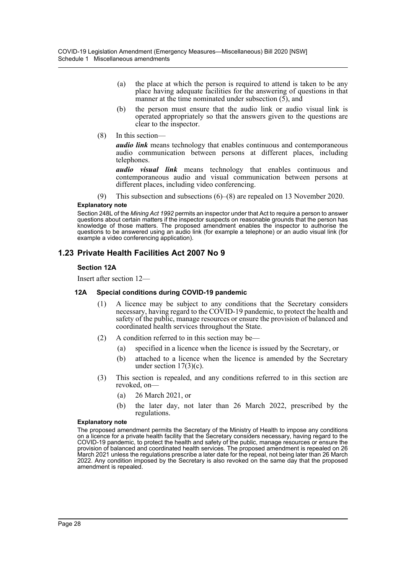- (a) the place at which the person is required to attend is taken to be any place having adequate facilities for the answering of questions in that manner at the time nominated under subsection (5), and
- (b) the person must ensure that the audio link or audio visual link is operated appropriately so that the answers given to the questions are clear to the inspector.
- (8) In this section—

*audio link* means technology that enables continuous and contemporaneous audio communication between persons at different places, including telephones.

*audio visual link* means technology that enables continuous and contemporaneous audio and visual communication between persons at different places, including video conferencing.

(9) This subsection and subsections (6)–(8) are repealed on 13 November 2020.

#### **Explanatory note**

Section 248L of the *Mining Act 1992* permits an inspector under that Act to require a person to answer questions about certain matters if the inspector suspects on reasonable grounds that the person has knowledge of those matters. The proposed amendment enables the inspector to authorise the questions to be answered using an audio link (for example a telephone) or an audio visual link (for example a video conferencing application).

## **1.23 Private Health Facilities Act 2007 No 9**

#### **Section 12A**

Insert after section 12—

#### **12A Special conditions during COVID-19 pandemic**

- (1) A licence may be subject to any conditions that the Secretary considers necessary, having regard to the COVID-19 pandemic, to protect the health and safety of the public, manage resources or ensure the provision of balanced and coordinated health services throughout the State.
- (2) A condition referred to in this section may be—
	- (a) specified in a licence when the licence is issued by the Secretary, or
	- (b) attached to a licence when the licence is amended by the Secretary under section  $17(3)(c)$ .
- (3) This section is repealed, and any conditions referred to in this section are revoked, on—
	- (a) 26 March 2021, or
	- (b) the later day, not later than 26 March 2022, prescribed by the regulations.

#### **Explanatory note**

The proposed amendment permits the Secretary of the Ministry of Health to impose any conditions on a licence for a private health facility that the Secretary considers necessary, having regard to the COVID-19 pandemic, to protect the health and safety of the public, manage resources or ensure the provision of balanced and coordinated health services. The proposed amendment is repealed on 26 March 2021 unless the regulations prescribe a later date for the repeal, not being later than 26 March 2022. Any condition imposed by the Secretary is also revoked on the same day that the proposed amendment is repealed.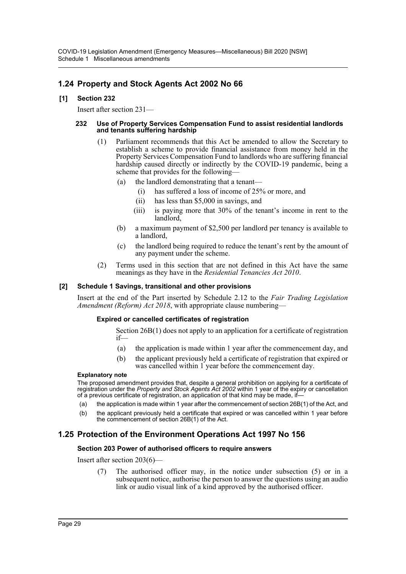## **1.24 Property and Stock Agents Act 2002 No 66**

## **[1] Section 232**

Insert after section 231—

#### **232 Use of Property Services Compensation Fund to assist residential landlords and tenants suffering hardship**

- (1) Parliament recommends that this Act be amended to allow the Secretary to establish a scheme to provide financial assistance from money held in the Property Services Compensation Fund to landlords who are suffering financial hardship caused directly or indirectly by the COVID-19 pandemic, being a scheme that provides for the following—
	- (a) the landlord demonstrating that a tenant—
		- (i) has suffered a loss of income of 25% or more, and
		- (ii) has less than \$5,000 in savings, and
		- (iii) is paying more that 30% of the tenant's income in rent to the landlord,
	- (b) a maximum payment of \$2,500 per landlord per tenancy is available to a landlord,
	- (c) the landlord being required to reduce the tenant's rent by the amount of any payment under the scheme.
- (2) Terms used in this section that are not defined in this Act have the same meanings as they have in the *Residential Tenancies Act 2010*.

### **[2] Schedule 1 Savings, transitional and other provisions**

Insert at the end of the Part inserted by Schedule 2.12 to the *Fair Trading Legislation Amendment (Reform) Act 2018*, with appropriate clause numbering—

#### **Expired or cancelled certificates of registration**

Section 26B(1) does not apply to an application for a certificate of registration if—

- (a) the application is made within 1 year after the commencement day, and
- (b) the applicant previously held a certificate of registration that expired or was cancelled within 1 year before the commencement day.

#### **Explanatory note**

The proposed amendment provides that, despite a general prohibition on applying for a certificate of registration under the *Property and Stock Agents Act 2002* within 1 year of the expiry or cancellation of a previous certificate of registration, an application of that kind may be made, if-

- (a) the application is made within 1 year after the commencement of section 26B(1) of the Act, and
- (b) the applicant previously held a certificate that expired or was cancelled within 1 year before the commencement of section 26B(1) of the Act.

## **1.25 Protection of the Environment Operations Act 1997 No 156**

#### **Section 203 Power of authorised officers to require answers**

Insert after section 203(6)—

(7) The authorised officer may, in the notice under subsection (5) or in a subsequent notice, authorise the person to answer the questions using an audio link or audio visual link of a kind approved by the authorised officer.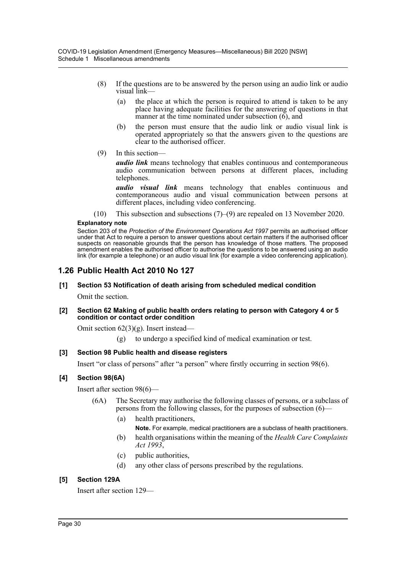- (8) If the questions are to be answered by the person using an audio link or audio visual link—
	- (a) the place at which the person is required to attend is taken to be any place having adequate facilities for the answering of questions in that manner at the time nominated under subsection  $(6)$ , and
	- (b) the person must ensure that the audio link or audio visual link is operated appropriately so that the answers given to the questions are clear to the authorised officer.
- (9) In this section—

*audio link* means technology that enables continuous and contemporaneous audio communication between persons at different places, including telephones.

*audio visual link* means technology that enables continuous and contemporaneous audio and visual communication between persons at different places, including video conferencing.

(10) This subsection and subsections (7)–(9) are repealed on 13 November 2020.

#### **Explanatory note**

Section 203 of the *Protection of the Environment Operations Act 1997* permits an authorised officer under that Act to require a person to answer questions about certain matters if the authorised officer suspects on reasonable grounds that the person has knowledge of those matters. The proposed amendment enables the authorised officer to authorise the questions to be answered using an audio link (for example a telephone) or an audio visual link (for example a video conferencing application).

## **1.26 Public Health Act 2010 No 127**

## **[1] Section 53 Notification of death arising from scheduled medical condition**

Omit the section.

#### **[2] Section 62 Making of public health orders relating to person with Category 4 or 5 condition or contact order condition**

Omit section 62(3)(g). Insert instead—

to undergo a specified kind of medical examination or test.

## **[3] Section 98 Public health and disease registers**

Insert "or class of persons" after "a person" where firstly occurring in section 98(6).

## **[4] Section 98(6A)**

Insert after section 98(6)—

- (6A) The Secretary may authorise the following classes of persons, or a subclass of persons from the following classes, for the purposes of subsection (6)—
	- (a) health practitioners,
		- **Note.** For example, medical practitioners are a subclass of health practitioners.
	- (b) health organisations within the meaning of the *Health Care Complaints Act 1993*,
	- (c) public authorities,
	- (d) any other class of persons prescribed by the regulations.

## **[5] Section 129A**

Insert after section 129—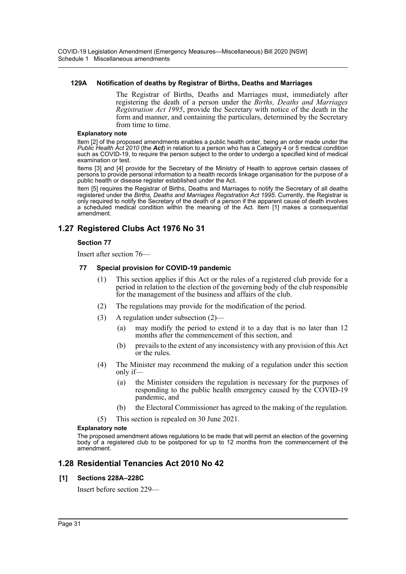COVID-19 Legislation Amendment (Emergency Measures—Miscellaneous) Bill 2020 [NSW] Schedule 1 Miscellaneous amendments

#### **129A Notification of deaths by Registrar of Births, Deaths and Marriages**

The Registrar of Births, Deaths and Marriages must, immediately after registering the death of a person under the *Births, Deaths and Marriages Registration Act 1995*, provide the Secretary with notice of the death in the form and manner, and containing the particulars, determined by the Secretary from time to time.

#### **Explanatory note**

Item [2] of the proposed amendments enables a public health order, being an order made under the *Public Health Act 2010* (the *Act*) in relation to a person who has a Category 4 or 5 medical condition such as COVID-19, to require the person subject to the order to undergo a specified kind of medical examination or test.

Items [3] and [4] provide for the Secretary of the Ministry of Health to approve certain classes of persons to provide personal information to a health records linkage organisation for the purpose of a public health or disease register established under the Act.

Item [5] requires the Registrar of Births, Deaths and Marriages to notify the Secretary of all deaths registered under the *Births, Deaths and Marriages Registration Act 1995*. Currently, the Registrar is only required to notify the Secretary of the death of a person if the apparent cause of death involves a scheduled medical condition within the meaning of the Act. Item [1] makes a consequential amendment.

## **1.27 Registered Clubs Act 1976 No 31**

#### **Section 77**

Insert after section 76—

#### **77 Special provision for COVID-19 pandemic**

- (1) This section applies if this Act or the rules of a registered club provide for a period in relation to the election of the governing body of the club responsible for the management of the business and affairs of the club.
- (2) The regulations may provide for the modification of the period.
- (3) A regulation under subsection (2)—
	- (a) may modify the period to extend it to a day that is no later than 12 months after the commencement of this section, and
	- (b) prevails to the extent of any inconsistency with any provision of this Act or the rules.
- (4) The Minister may recommend the making of a regulation under this section only if—
	- (a) the Minister considers the regulation is necessary for the purposes of responding to the public health emergency caused by the COVID-19 pandemic, and
	- (b) the Electoral Commissioner has agreed to the making of the regulation.
- (5) This section is repealed on 30 June 2021.

#### **Explanatory note**

The proposed amendment allows regulations to be made that will permit an election of the governing body of a registered club to be postponed for up to 12 months from the commencement of the amendment.

## **1.28 Residential Tenancies Act 2010 No 42**

#### **[1] Sections 228A–228C**

Insert before section 229—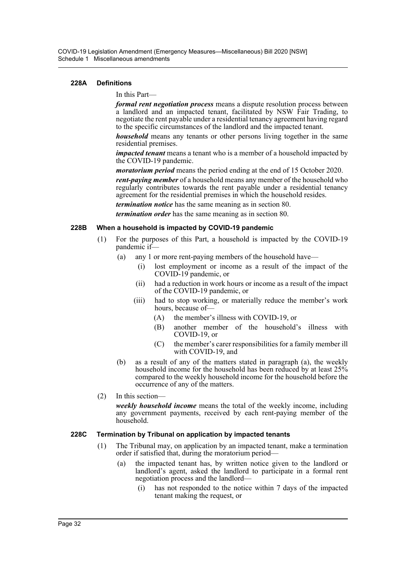COVID-19 Legislation Amendment (Emergency Measures—Miscellaneous) Bill 2020 [NSW] Schedule 1 Miscellaneous amendments

#### **228A Definitions**

#### In this Part—

*formal rent negotiation process* means a dispute resolution process between a landlord and an impacted tenant, facilitated by NSW Fair Trading, to negotiate the rent payable under a residential tenancy agreement having regard to the specific circumstances of the landlord and the impacted tenant.

*household* means any tenants or other persons living together in the same residential premises.

*impacted tenant* means a tenant who is a member of a household impacted by the COVID-19 pandemic.

*moratorium period* means the period ending at the end of 15 October 2020.

*rent-paying member* of a household means any member of the household who regularly contributes towards the rent payable under a residential tenancy agreement for the residential premises in which the household resides.

*termination notice* has the same meaning as in section 80.

*termination order* has the same meaning as in section 80.

#### **228B When a household is impacted by COVID-19 pandemic**

- (1) For the purposes of this Part, a household is impacted by the COVID-19 pandemic if—
	- (a) any 1 or more rent-paying members of the household have—
		- (i) lost employment or income as a result of the impact of the COVID-19 pandemic, or
		- (ii) had a reduction in work hours or income as a result of the impact of the COVID-19 pandemic, or
		- (iii) had to stop working, or materially reduce the member's work hours, because of-
			- (A) the member's illness with COVID-19, or
			- (B) another member of the household's illness with COVID-19, or
			- (C) the member's carer responsibilities for a family member ill with COVID-19, and
	- (b) as a result of any of the matters stated in paragraph (a), the weekly household income for the household has been reduced by at least 25% compared to the weekly household income for the household before the occurrence of any of the matters.
- (2) In this section—

*weekly household income* means the total of the weekly income, including any government payments, received by each rent-paying member of the household.

#### **228C Termination by Tribunal on application by impacted tenants**

- (1) The Tribunal may, on application by an impacted tenant, make a termination order if satisfied that, during the moratorium period—
	- (a) the impacted tenant has, by written notice given to the landlord or landlord's agent, asked the landlord to participate in a formal rent negotiation process and the landlord—
		- (i) has not responded to the notice within 7 days of the impacted tenant making the request, or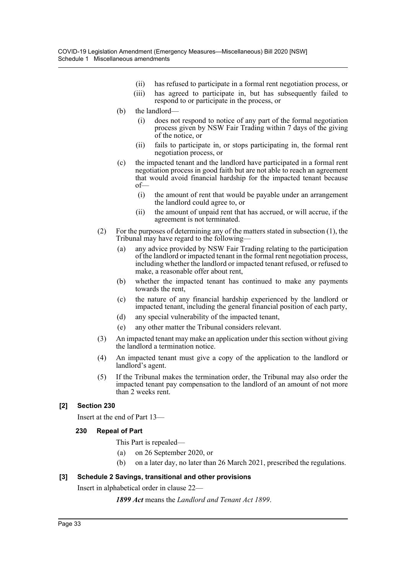- (ii) has refused to participate in a formal rent negotiation process, or
- (iii) has agreed to participate in, but has subsequently failed to respond to or participate in the process, or
- (b) the landlord-
	- (i) does not respond to notice of any part of the formal negotiation process given by NSW Fair Trading within 7 days of the giving of the notice, or
	- (ii) fails to participate in, or stops participating in, the formal rent negotiation process, or
- (c) the impacted tenant and the landlord have participated in a formal rent negotiation process in good faith but are not able to reach an agreement that would avoid financial hardship for the impacted tenant because of—
	- (i) the amount of rent that would be payable under an arrangement the landlord could agree to, or
	- (ii) the amount of unpaid rent that has accrued, or will accrue, if the agreement is not terminated.
- (2) For the purposes of determining any of the matters stated in subsection (1), the Tribunal may have regard to the following—
	- (a) any advice provided by NSW Fair Trading relating to the participation of the landlord or impacted tenant in the formal rent negotiation process, including whether the landlord or impacted tenant refused, or refused to make, a reasonable offer about rent,
	- (b) whether the impacted tenant has continued to make any payments towards the rent,
	- (c) the nature of any financial hardship experienced by the landlord or impacted tenant, including the general financial position of each party,
	- (d) any special vulnerability of the impacted tenant,
	- (e) any other matter the Tribunal considers relevant.
- (3) An impacted tenant may make an application under this section without giving the landlord a termination notice.
- (4) An impacted tenant must give a copy of the application to the landlord or landlord's agent.
- (5) If the Tribunal makes the termination order, the Tribunal may also order the impacted tenant pay compensation to the landlord of an amount of not more than 2 weeks rent.

## **[2] Section 230**

Insert at the end of Part 13—

#### **230 Repeal of Part**

- This Part is repealed—
- (a) on 26 September 2020, or
- (b) on a later day, no later than 26 March 2021, prescribed the regulations.

#### **[3] Schedule 2 Savings, transitional and other provisions**

Insert in alphabetical order in clause 22—

*1899 Act* means the *Landlord and Tenant Act 1899*.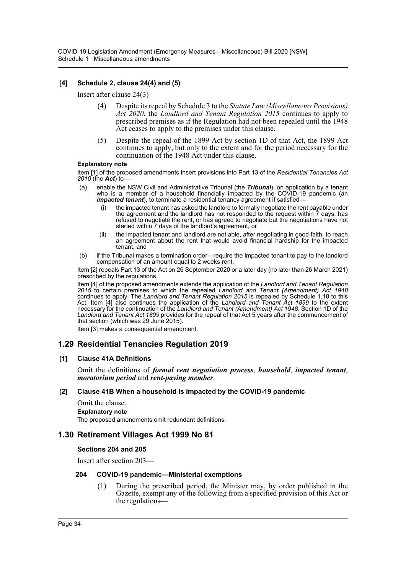## **[4] Schedule 2, clause 24(4) and (5)**

Insert after clause 24(3)—

- (4) Despite its repeal by Schedule 3 to the *Statute Law (Miscellaneous Provisions) Act 2020*, the *Landlord and Tenant Regulation 2015* continues to apply to prescribed premises as if the Regulation had not been repealed until the 1948 Act ceases to apply to the premises under this clause.
- (5) Despite the repeal of the 1899 Act by section 1D of that Act, the 1899 Act continues to apply, but only to the extent and for the period necessary for the continuation of the 1948 Act under this clause.

#### **Explanatory note**

Item [1] of the proposed amendments insert provisions into Part 13 of the *Residential Tenancies Act 2010* (the *Act*) to—

- (a) enable the NSW Civil and Administrative Tribunal (the *Tribunal*), on application by a tenant who is a member of a household financially impacted by the COVID-19 pandemic (an *impacted tenant*), to terminate a residential tenancy agreement if satisfied–
	- the impacted tenant has asked the landlord to formally negotiate the rent payable under the agreement and the landlord has not responded to the request within 7 days, has refused to negotiate the rent, or has agreed to negotiate but the negotiations have not started within 7 days of the landlord's agreement, or
	- (ii) the impacted tenant and landlord are not able, after negotiating in good faith, to reach an agreement about the rent that would avoid financial hardship for the impacted tenant, and
- (b) if the Tribunal makes a termination order—require the impacted tenant to pay to the landlord compensation of an amount equal to 2 weeks rent.

Item [2] repeals Part 13 of the Act on 26 September 2020 or a later day (no later than 26 March 2021) prescribed by the regulations.

Item [4] of the proposed amendments extends the application of the *Landlord and Tenant Regulation 2015* to certain premises to which the repealed *Landlord and Tenant (Amendment) Act 1948* continues to apply. The *Landlord and Tenant Regulation 2015* is repealed by Schedule 1.18 to this Act. Item [4] also continues the application of the *Landlord and Tenant Act 1899* to the extent necessary for the continuation of the *Landlord and Tenant (Amendment) Act 1948*. Section 1D of the *Landlord and Tenant Act 1899* provides for the repeal of that Act 5 years after the commencement of that section (which was 29 June 2015).

Item [3] makes a consequential amendment.

## **1.29 Residential Tenancies Regulation 2019**

#### **[1] Clause 41A Definitions**

Omit the definitions of *formal rent negotiation process*, *household*, *impacted tenant*, *moratorium period* and *rent-paying member*.

#### **[2] Clause 41B When a household is impacted by the COVID-19 pandemic**

- Omit the clause.
- **Explanatory note**

The proposed amendments omit redundant definitions.

## **1.30 Retirement Villages Act 1999 No 81**

#### **Sections 204 and 205**

Insert after section 203—

#### **204 COVID-19 pandemic—Ministerial exemptions**

(1) During the prescribed period, the Minister may, by order published in the Gazette, exempt any of the following from a specified provision of this Act or the regulations—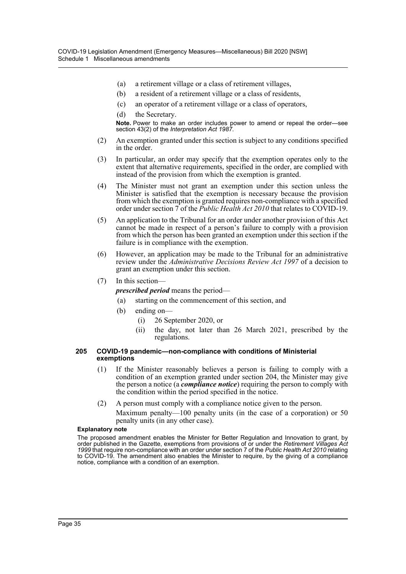- (a) a retirement village or a class of retirement villages,
- (b) a resident of a retirement village or a class of residents,
- (c) an operator of a retirement village or a class of operators,
- (d) the Secretary.

**Note.** Power to make an order includes power to amend or repeal the order—see section 43(2) of the *Interpretation Act 1987*.

- (2) An exemption granted under this section is subject to any conditions specified in the order.
- (3) In particular, an order may specify that the exemption operates only to the extent that alternative requirements, specified in the order, are complied with instead of the provision from which the exemption is granted.
- (4) The Minister must not grant an exemption under this section unless the Minister is satisfied that the exemption is necessary because the provision from which the exemption is granted requires non-compliance with a specified order under section 7 of the *Public Health Act 2010* that relates to COVID-19.
- (5) An application to the Tribunal for an order under another provision of this Act cannot be made in respect of a person's failure to comply with a provision from which the person has been granted an exemption under this section if the failure is in compliance with the exemption.
- (6) However, an application may be made to the Tribunal for an administrative review under the *Administrative Decisions Review Act 1997* of a decision to grant an exemption under this section.
- (7) In this section—

*prescribed period* means the period—

- (a) starting on the commencement of this section, and
- (b) ending on—
	- (i) 26 September 2020, or
	- (ii) the day, not later than 26 March 2021, prescribed by the regulations.

#### **205 COVID-19 pandemic—non-compliance with conditions of Ministerial exemptions**

- (1) If the Minister reasonably believes a person is failing to comply with a condition of an exemption granted under section 204, the Minister may give the person a notice (a *compliance notice*) requiring the person to comply with the condition within the period specified in the notice.
- (2) A person must comply with a compliance notice given to the person.

Maximum penalty—100 penalty units (in the case of a corporation) or 50 penalty units (in any other case).

#### **Explanatory note**

The proposed amendment enables the Minister for Better Regulation and Innovation to grant, by order published in the Gazette, exemptions from provisions of or under the *Retirement Villages Act 1999* that require non-compliance with an order under section 7 of the *Public Health Act 2010* relating to COVID-19. The amendment also enables the Minister to require, by the giving of a compliance notice, compliance with a condition of an exemption.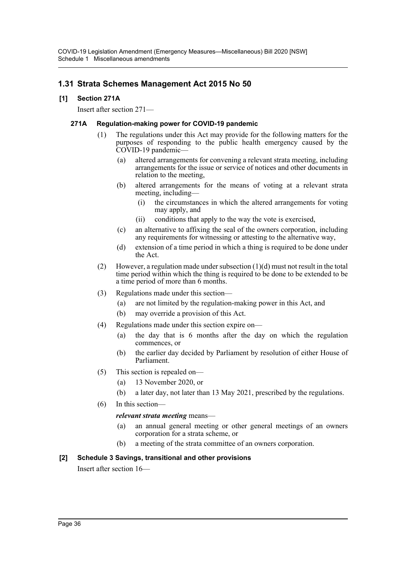## **1.31 Strata Schemes Management Act 2015 No 50**

## **[1] Section 271A**

Insert after section 271—

#### **271A Regulation-making power for COVID-19 pandemic**

- (1) The regulations under this Act may provide for the following matters for the purposes of responding to the public health emergency caused by the COVID-19 pandemic—
	- (a) altered arrangements for convening a relevant strata meeting, including arrangements for the issue or service of notices and other documents in relation to the meeting,
	- (b) altered arrangements for the means of voting at a relevant strata meeting, including—
		- (i) the circumstances in which the altered arrangements for voting may apply, and
		- (ii) conditions that apply to the way the vote is exercised,
	- (c) an alternative to affixing the seal of the owners corporation, including any requirements for witnessing or attesting to the alternative way,
	- (d) extension of a time period in which a thing is required to be done under the Act.
- (2) However, a regulation made under subsection  $(1)(d)$  must not result in the total time period within which the thing is required to be done to be extended to be a time period of more than 6 months.
- (3) Regulations made under this section—
	- (a) are not limited by the regulation-making power in this Act, and
	- (b) may override a provision of this Act.
- (4) Regulations made under this section expire on—
	- (a) the day that is 6 months after the day on which the regulation commences, or
	- (b) the earlier day decided by Parliament by resolution of either House of Parliament.
- (5) This section is repealed on—
	- (a) 13 November 2020, or
	- (b) a later day, not later than 13 May 2021, prescribed by the regulations.
- (6) In this section—

#### *relevant strata meeting* means—

- (a) an annual general meeting or other general meetings of an owners corporation for a strata scheme, or
- (b) a meeting of the strata committee of an owners corporation.

## **[2] Schedule 3 Savings, transitional and other provisions**

Insert after section 16—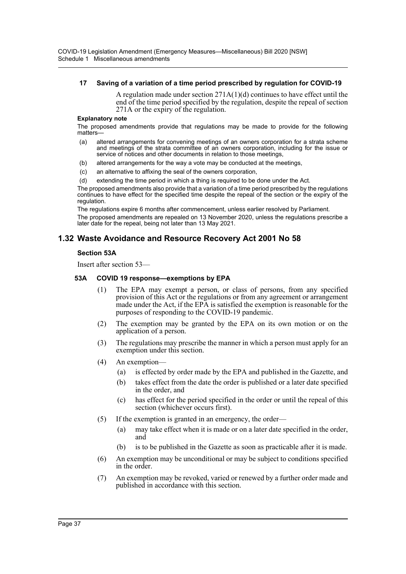#### **17 Saving of a variation of a time period prescribed by regulation for COVID-19**

A regulation made under section 271A(1)(d) continues to have effect until the end of the time period specified by the regulation, despite the repeal of section 271A or the expiry of the regulation.

#### **Explanatory note**

The proposed amendments provide that regulations may be made to provide for the following matters—

- (a) altered arrangements for convening meetings of an owners corporation for a strata scheme and meetings of the strata committee of an owners corporation, including for the issue or service of notices and other documents in relation to those meetings,
- (b) altered arrangements for the way a vote may be conducted at the meetings,
- (c) an alternative to affixing the seal of the owners corporation,
- (d) extending the time period in which a thing is required to be done under the Act.

The proposed amendments also provide that a variation of a time period prescribed by the regulations continues to have effect for the specified time despite the repeal of the section or the expiry of the regulation.

The regulations expire 6 months after commencement, unless earlier resolved by Parliament.

The proposed amendments are repealed on 13 November 2020, unless the regulations prescribe a later date for the repeal, being not later than 13 May 2021.

## **1.32 Waste Avoidance and Resource Recovery Act 2001 No 58**

#### **Section 53A**

Insert after section 53—

#### **53A COVID 19 response—exemptions by EPA**

- (1) The EPA may exempt a person, or class of persons, from any specified provision of this Act or the regulations or from any agreement or arrangement made under the Act, if the EPA is satisfied the exemption is reasonable for the purposes of responding to the COVID-19 pandemic.
- (2) The exemption may be granted by the EPA on its own motion or on the application of a person.
- (3) The regulations may prescribe the manner in which a person must apply for an exemption under this section.
- (4) An exemption—
	- (a) is effected by order made by the EPA and published in the Gazette, and
	- (b) takes effect from the date the order is published or a later date specified in the order, and
	- (c) has effect for the period specified in the order or until the repeal of this section (whichever occurs first).
- (5) If the exemption is granted in an emergency, the order—
	- (a) may take effect when it is made or on a later date specified in the order, and
	- (b) is to be published in the Gazette as soon as practicable after it is made.
- (6) An exemption may be unconditional or may be subject to conditions specified in the order.
- (7) An exemption may be revoked, varied or renewed by a further order made and published in accordance with this section.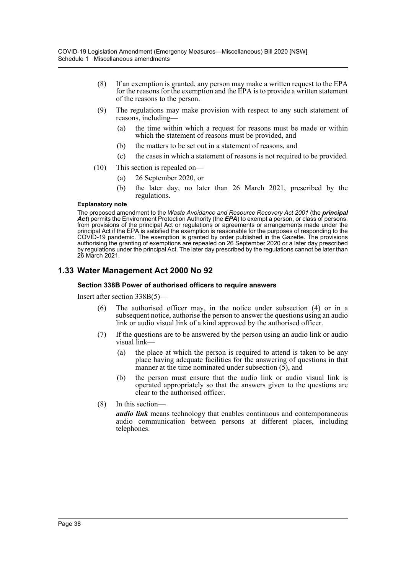- (8) If an exemption is granted, any person may make a written request to the EPA for the reasons for the exemption and the EPA is to provide a written statement of the reasons to the person.
- (9) The regulations may make provision with respect to any such statement of reasons, including—
	- (a) the time within which a request for reasons must be made or within which the statement of reasons must be provided, and
	- (b) the matters to be set out in a statement of reasons, and
	- (c) the cases in which a statement of reasons is not required to be provided.
- (10) This section is repealed on—
	- (a) 26 September 2020, or
	- (b) the later day, no later than 26 March 2021, prescribed by the regulations.

#### **Explanatory note**

The proposed amendment to the *Waste Avoidance and Resource Recovery Act 2001* (the *principal Act*) permits the Environment Protection Authority (the *EPA*) to exempt a person, or class of persons, from provisions of the principal Act or regulations or agreements or arrangements made under the principal Act if the EPA is satisfied the exemption is reasonable for the purposes of responding to the COVID-19 pandemic. The exemption is granted by order published in the Gazette. The provisions authorising the granting of exemptions are repealed on 26 September 2020 or a later day prescribed by regulations under the principal Act. The later day prescribed by the regulations cannot be later than 26 March 2021.

## **1.33 Water Management Act 2000 No 92**

#### **Section 338B Power of authorised officers to require answers**

Insert after section 338B(5)—

- (6) The authorised officer may, in the notice under subsection (4) or in a subsequent notice, authorise the person to answer the questions using an audio link or audio visual link of a kind approved by the authorised officer.
- (7) If the questions are to be answered by the person using an audio link or audio visual link—
	- (a) the place at which the person is required to attend is taken to be any place having adequate facilities for the answering of questions in that manner at the time nominated under subsection  $(5)$ , and
	- (b) the person must ensure that the audio link or audio visual link is operated appropriately so that the answers given to the questions are clear to the authorised officer.
- (8) In this section—

*audio link* means technology that enables continuous and contemporaneous audio communication between persons at different places, including telephones.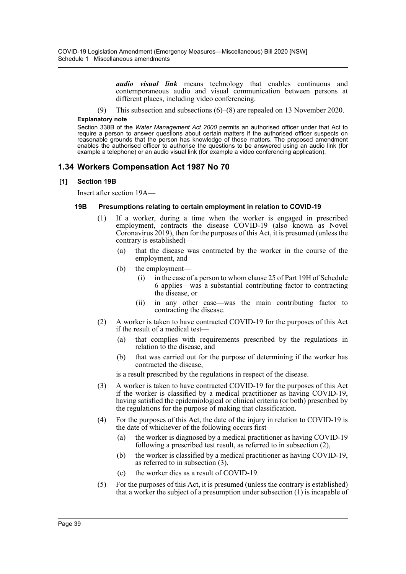*audio visual link* means technology that enables continuous and contemporaneous audio and visual communication between persons at different places, including video conferencing.

(9) This subsection and subsections (6)–(8) are repealed on 13 November 2020.

#### **Explanatory note**

Section 338B of the *Water Management Act 2000* permits an authorised officer under that Act to require a person to answer questions about certain matters if the authorised officer suspects on reasonable grounds that the person has knowledge of those matters. The proposed amendment enables the authorised officer to authorise the questions to be answered using an audio link (for example a telephone) or an audio visual link (for example a video conferencing application).

## **1.34 Workers Compensation Act 1987 No 70**

### **[1] Section 19B**

Insert after section 19A—

#### **19B Presumptions relating to certain employment in relation to COVID-19**

- (1) If a worker, during a time when the worker is engaged in prescribed employment, contracts the disease COVID-19 (also known as Novel Coronavirus 2019), then for the purposes of this Act, it is presumed (unless the contrary is established)—
	- (a) that the disease was contracted by the worker in the course of the employment, and
	- (b) the employment
		- in the case of a person to whom clause 25 of Part 19H of Schedule 6 applies—was a substantial contributing factor to contracting the disease, or
		- (ii) in any other case—was the main contributing factor to contracting the disease.
- (2) A worker is taken to have contracted COVID-19 for the purposes of this Act if the result of a medical test—
	- (a) that complies with requirements prescribed by the regulations in relation to the disease, and
	- (b) that was carried out for the purpose of determining if the worker has contracted the disease,

is a result prescribed by the regulations in respect of the disease.

- (3) A worker is taken to have contracted COVID-19 for the purposes of this Act if the worker is classified by a medical practitioner as having COVID-19, having satisfied the epidemiological or clinical criteria (or both) prescribed by the regulations for the purpose of making that classification.
- (4) For the purposes of this Act, the date of the injury in relation to COVID-19 is the date of whichever of the following occurs first—
	- (a) the worker is diagnosed by a medical practitioner as having COVID-19 following a prescribed test result, as referred to in subsection (2),
	- (b) the worker is classified by a medical practitioner as having COVID-19, as referred to in subsection (3),
	- (c) the worker dies as a result of COVID-19.
- (5) For the purposes of this Act, it is presumed (unless the contrary is established) that a worker the subject of a presumption under subsection (1) is incapable of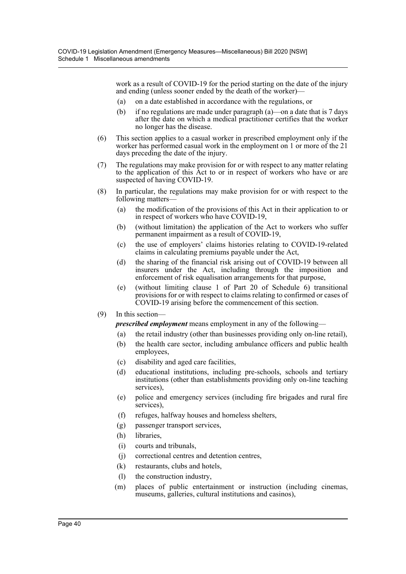work as a result of COVID-19 for the period starting on the date of the injury and ending (unless sooner ended by the death of the worker)—

- (a) on a date established in accordance with the regulations, or
- (b) if no regulations are made under paragraph (a)—on a date that is 7 days after the date on which a medical practitioner certifies that the worker no longer has the disease.
- (6) This section applies to a casual worker in prescribed employment only if the worker has performed casual work in the employment on 1 or more of the 21 days preceding the date of the injury.
- (7) The regulations may make provision for or with respect to any matter relating to the application of this Act to or in respect of workers who have or are suspected of having COVID-19.
- (8) In particular, the regulations may make provision for or with respect to the following matters-
	- (a) the modification of the provisions of this Act in their application to or in respect of workers who have COVID-19,
	- (b) (without limitation) the application of the Act to workers who suffer permanent impairment as a result of COVID-19,
	- (c) the use of employers' claims histories relating to COVID-19-related claims in calculating premiums payable under the Act,
	- (d) the sharing of the financial risk arising out of COVID-19 between all insurers under the Act, including through the imposition and enforcement of risk equalisation arrangements for that purpose,
	- (e) (without limiting clause 1 of Part 20 of Schedule 6) transitional provisions for or with respect to claims relating to confirmed or cases of COVID-19 arising before the commencement of this section.
- (9) In this section—

*prescribed employment* means employment in any of the following—

- (a) the retail industry (other than businesses providing only on-line retail),
- (b) the health care sector, including ambulance officers and public health employees,
- (c) disability and aged care facilities,
- (d) educational institutions, including pre-schools, schools and tertiary institutions (other than establishments providing only on-line teaching services),
- (e) police and emergency services (including fire brigades and rural fire services),
- (f) refuges, halfway houses and homeless shelters,
- (g) passenger transport services,
- (h) libraries,
- (i) courts and tribunals,
- (j) correctional centres and detention centres,
- (k) restaurants, clubs and hotels,
- (l) the construction industry,
- (m) places of public entertainment or instruction (including cinemas, museums, galleries, cultural institutions and casinos),